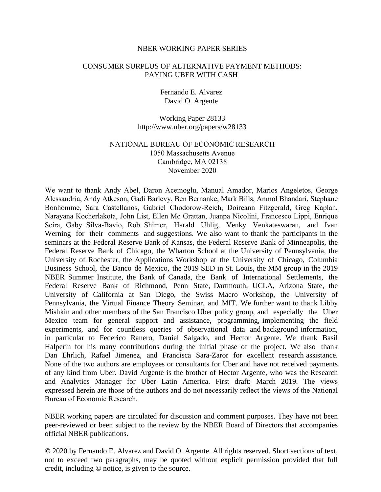#### NBER WORKING PAPER SERIES

### CONSUMER SURPLUS OF ALTERNATIVE PAYMENT METHODS: PAYING UBER WITH CASH

Fernando E. Alvarez David O. Argente

Working Paper 28133 http://www.nber.org/papers/w28133

## NATIONAL BUREAU OF ECONOMIC RESEARCH 1050 Massachusetts Avenue Cambridge, MA 02138 November 2020

We want to thank Andy Abel, Daron Acemoglu, Manual Amador, Marios Angeletos, George Alessandria, Andy Atkeson, Gadi Barlevy, Ben Bernanke, Mark Bills, Anmol Bhandari, Stephane Bonhomme, Sara Castellanos, Gabriel Chodorow-Reich, Doireann Fitzgerald, Greg Kaplan, Narayana Kocherlakota, John List, Ellen Mc Grattan, Juanpa Nicolini, Francesco Lippi, Enrique Seira, Gaby Silva-Bavio, Rob Shimer, Harald Uhlig, Venky Venkateswaran, and Ivan Werning for their comments and suggestions. We also want to thank the participants in the seminars at the Federal Reserve Bank of Kansas, the Federal Reserve Bank of Minneapolis, the Federal Reserve Bank of Chicago, the Wharton School at the University of Pennsylvania, the University of Rochester, the Applications Workshop at the University of Chicago, Columbia Business School, the Banco de Mexico, the 2019 SED in St. Louis, the MM group in the 2019 NBER Summer Institute, the Bank of Canada, the Bank of International Settlements, the Federal Reserve Bank of Richmond, Penn State, Dartmouth, UCLA, Arizona State, the University of California at San Diego, the Swiss Macro Workshop, the University of Pennsylvania, the Virtual Finance Theory Seminar, and MIT. We further want to thank Libby Mishkin and other members of the San Francisco Uber policy group, and especially the Uber Mexico team for general support and assistance, programming, implementing the field experiments, and for countless queries of observational data and background information, in particular to Federico Ranero, Daniel Salgado, and Hector Argente. We thank Basil Halperin for his many contributions during the initial phase of the project. We also thank Dan Ehrlich, Rafael Jimenez, and Francisca Sara-Zaror for excellent research assistance. None of the two authors are employees or consultants for Uber and have not received payments of any kind from Uber. David Argente is the brother of Hector Argente, who was the Research and Analytics Manager for Uber Latin America. First draft: March 2019. The views expressed herein are those of the authors and do not necessarily reflect the views of the National Bureau of Economic Research.

NBER working papers are circulated for discussion and comment purposes. They have not been peer-reviewed or been subject to the review by the NBER Board of Directors that accompanies official NBER publications.

© 2020 by Fernando E. Alvarez and David O. Argente. All rights reserved. Short sections of text, not to exceed two paragraphs, may be quoted without explicit permission provided that full credit, including © notice, is given to the source.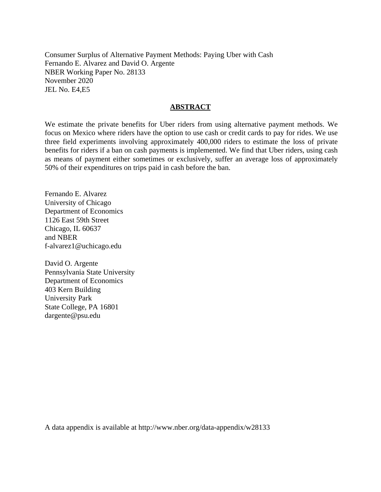Consumer Surplus of Alternative Payment Methods: Paying Uber with Cash Fernando E. Alvarez and David O. Argente NBER Working Paper No. 28133 November 2020 JEL No. E4,E5

### **ABSTRACT**

We estimate the private benefits for Uber riders from using alternative payment methods. We focus on Mexico where riders have the option to use cash or credit cards to pay for rides. We use three field experiments involving approximately 400,000 riders to estimate the loss of private benefits for riders if a ban on cash payments is implemented. We find that Uber riders, using cash as means of payment either sometimes or exclusively, suffer an average loss of approximately 50% of their expenditures on trips paid in cash before the ban.

Fernando E. Alvarez University of Chicago Department of Economics 1126 East 59th Street Chicago, IL 60637 and NBER f-alvarez1@uchicago.edu

David O. Argente Pennsylvania State University Department of Economics 403 Kern Building University Park State College, PA 16801 dargente@psu.edu

A data appendix is available at http://www.nber.org/data-appendix/w28133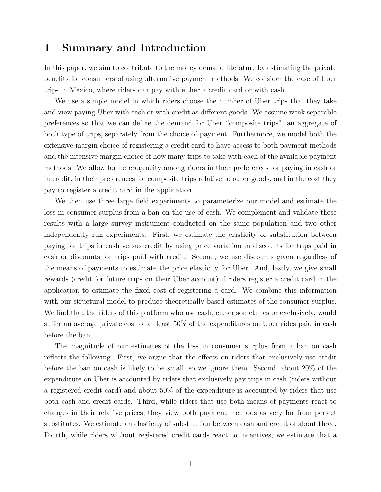# 1 Summary and Introduction

In this paper, we aim to contribute to the money demand literature by estimating the private benefits for consumers of using alternative payment methods. We consider the case of Uber trips in Mexico, where riders can pay with either a credit card or with cash.

We use a simple model in which riders choose the number of Uber trips that they take and view paying Uber with cash or with credit as different goods. We assume weak separable preferences so that we can define the demand for Uber "composite trips", an aggregate of both type of trips, separately from the choice of payment. Furthermore, we model both the extensive margin choice of registering a credit card to have access to both payment methods and the intensive margin choice of how many trips to take with each of the available payment methods. We allow for heterogeneity among riders in their preferences for paying in cash or in credit, in their preferences for composite trips relative to other goods, and in the cost they pay to register a credit card in the application.

We then use three large field experiments to parameterize our model and estimate the loss in consumer surplus from a ban on the use of cash. We complement and validate these results with a large survey instrument conducted on the same population and two other independently run experiments. First, we estimate the elasticity of substitution between paying for trips in cash versus credit by using price variation in discounts for trips paid in cash or discounts for trips paid with credit. Second, we use discounts given regardless of the means of payments to estimate the price elasticity for Uber. And, lastly, we give small rewards (credit for future trips on their Uber account) if riders register a credit card in the application to estimate the fixed cost of registering a card. We combine this information with our structural model to produce theoretically based estimates of the consumer surplus. We find that the riders of this platform who use cash, either sometimes or exclusively, would suffer an average private cost of at least 50% of the expenditures on Uber rides paid in cash before the ban.

The magnitude of our estimates of the loss in consumer surplus from a ban on cash reflects the following. First, we argue that the effects on riders that exclusively use credit before the ban on cash is likely to be small, so we ignore them. Second, about 20% of the expenditure on Uber is accounted by riders that exclusively pay trips in cash (riders without a registered credit card) and about 50% of the expenditure is accounted by riders that use both cash and credit cards. Third, while riders that use both means of payments react to changes in their relative prices, they view both payment methods as very far from perfect substitutes. We estimate an elasticity of substitution between cash and credit of about three. Fourth, while riders without registered credit cards react to incentives, we estimate that a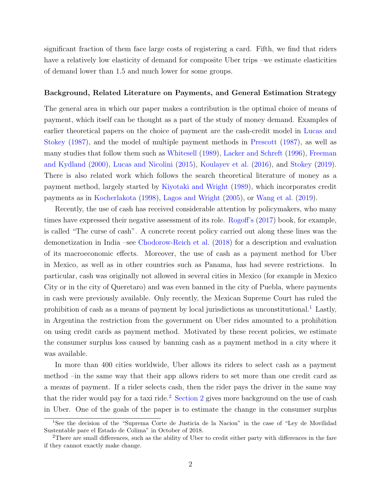significant fraction of them face large costs of registering a card. Fifth, we find that riders have a relatively low elasticity of demand for composite Uber trips –we estimate elasticities of demand lower than 1.5 and much lower for some groups.

#### Background, Related Literature on Payments, and General Estimation Strategy

The general area in which our paper makes a contribution is the optimal choice of means of payment, which itself can be thought as a part of the study of money demand. Examples of earlier theoretical papers on the choice of payment are the cash-credit model in [Lucas and](#page-46-0) [Stokey](#page-46-0) [\(1987\)](#page-46-0), and the model of multiple payment methods in [Prescott](#page-46-1) [\(1987\)](#page-46-1), as well as many studies that follow them such as [Whitesell](#page-46-2) [\(1989\)](#page-46-2), [Lacker and Schreft](#page-46-3) [\(1996\)](#page-46-3), [Freeman](#page-45-0) [and Kydland](#page-45-0) [\(2000\)](#page-45-0), [Lucas and Nicolini](#page-46-4) [\(2015\)](#page-46-4), [Koulayev et al.](#page-46-5) [\(2016\)](#page-46-5), and [Stokey](#page-46-6) [\(2019\)](#page-46-6). There is also related work which follows the search theoretical literature of money as a payment method, largely started by [Kiyotaki and Wright](#page-45-1) [\(1989\)](#page-45-1), which incorporates credit payments as in [Kocherlakota](#page-46-7) [\(1998\)](#page-46-7), [Lagos and Wright](#page-46-8) [\(2005\)](#page-46-8), or [Wang et al.](#page-46-9) [\(2019\)](#page-46-9).

Recently, the use of cash has received considerable attention by policymakers, who many times have expressed their negative assessment of its role. [Rogoff'](#page-46-10)s [\(2017\)](#page-46-10) book, for example, is called "The curse of cash". A concrete recent policy carried out along these lines was the demonetization in India –see [Chodorow-Reich et al.](#page-45-2) [\(2018\)](#page-45-2) for a description and evaluation of its macroeconomic effects. Moreover, the use of cash as a payment method for Uber in Mexico, as well as in other countries such as Panama, has had severe restrictions. In particular, cash was originally not allowed in several cities in Mexico (for example in Mexico City or in the city of Queretaro) and was even banned in the city of Puebla, where payments in cash were previously available. Only recently, the Mexican Supreme Court has ruled the prohibition of cash as a means of payment by local jurisdictions as unconstitutional.<sup>[1](#page-3-0)</sup> Lastly, in Argentina the restriction from the government on Uber rides amounted to a prohibition on using credit cards as payment method. Motivated by these recent policies, we estimate the consumer surplus loss caused by banning cash as a payment method in a city where it was available.

In more than 400 cities worldwide, Uber allows its riders to select cash as a payment method –in the same way that their app allows riders to set more than one credit card as a means of payment. If a rider selects cash, then the rider pays the driver in the same way that the rider would pay for a taxi ride.<sup>[2](#page-3-1)</sup> [Section 2](#page-10-0) gives more background on the use of cash in Uber. One of the goals of the paper is to estimate the change in the consumer surplus

<span id="page-3-0"></span><sup>&</sup>lt;sup>1</sup>See the decision of the "Suprema Corte de Justicia de la Nacion" in the case of "Ley de Movilidad" Sustentable pare el Estado de Colima" in October of 2018.

<span id="page-3-1"></span><sup>2</sup>There are small differences, such as the ability of Uber to credit either party with differences in the fare if they cannot exactly make change.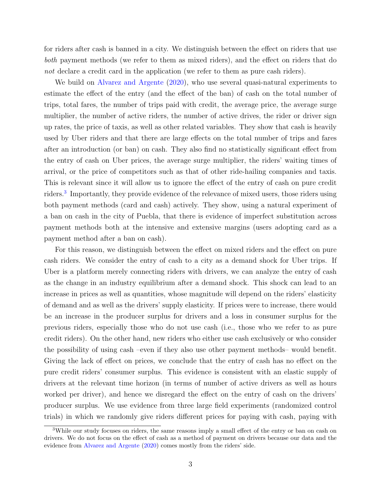for riders after cash is banned in a city. We distinguish between the effect on riders that use both payment methods (we refer to them as mixed riders), and the effect on riders that do not declare a credit card in the application (we refer to them as pure cash riders).

We build on [Alvarez and Argente](#page-45-3) [\(2020\)](#page-45-3), who use several quasi-natural experiments to estimate the effect of the entry (and the effect of the ban) of cash on the total number of trips, total fares, the number of trips paid with credit, the average price, the average surge multiplier, the number of active riders, the number of active drives, the rider or driver sign up rates, the price of taxis, as well as other related variables. They show that cash is heavily used by Uber riders and that there are large effects on the total number of trips and fares after an introduction (or ban) on cash. They also find no statistically significant effect from the entry of cash on Uber prices, the average surge multiplier, the riders' waiting times of arrival, or the price of competitors such as that of other ride-hailing companies and taxis. This is relevant since it will allow us to ignore the effect of the entry of cash on pure credit riders.<sup>[3](#page-4-0)</sup> Importantly, they provide evidence of the relevance of mixed users, those riders using both payment methods (card and cash) actively. They show, using a natural experiment of a ban on cash in the city of Puebla, that there is evidence of imperfect substitution across payment methods both at the intensive and extensive margins (users adopting card as a payment method after a ban on cash).

For this reason, we distinguish between the effect on mixed riders and the effect on pure cash riders. We consider the entry of cash to a city as a demand shock for Uber trips. If Uber is a platform merely connecting riders with drivers, we can analyze the entry of cash as the change in an industry equilibrium after a demand shock. This shock can lead to an increase in prices as well as quantities, whose magnitude will depend on the riders' elasticity of demand and as well as the drivers' supply elasticity. If prices were to increase, there would be an increase in the producer surplus for drivers and a loss in consumer surplus for the previous riders, especially those who do not use cash (i.e., those who we refer to as pure credit riders). On the other hand, new riders who either use cash exclusively or who consider the possibility of using cash –even if they also use other payment methods– would benefit. Giving the lack of effect on prices, we conclude that the entry of cash has no effect on the pure credit riders' consumer surplus. This evidence is consistent with an elastic supply of drivers at the relevant time horizon (in terms of number of active drivers as well as hours worked per driver), and hence we disregard the effect on the entry of cash on the drivers' producer surplus. We use evidence from three large field experiments (randomized control trials) in which we randomly give riders different prices for paying with cash, paying with

<span id="page-4-0"></span><sup>3</sup>While our study focuses on riders, the same reasons imply a small effect of the entry or ban on cash on drivers. We do not focus on the effect of cash as a method of payment on drivers because our data and the evidence from [Alvarez and Argente](#page-45-3) [\(2020\)](#page-45-3) comes mostly from the riders' side.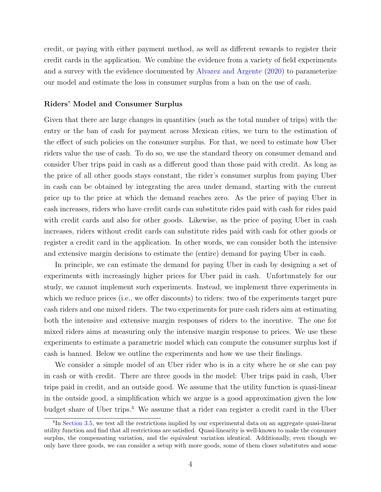credit, or paying with either payment method, as well as different rewards to register their credit cards in the application. We combine the evidence from a variety of field experiments and a survey with the evidence documented by [Alvarez and Argente](#page-45-3) [\(2020\)](#page-45-3) to parameterize our model and estimate the loss in consumer surplus from a ban on the use of cash.

#### Riders' Model and Consumer Surplus

Given that there are large changes in quantities (such as the total number of trips) with the entry or the ban of cash for payment across Mexican cities, we turn to the estimation of the effect of such policies on the consumer surplus. For that, we need to estimate how Uber riders value the use of cash. To do so, we use the standard theory on consumer demand and consider Uber trips paid in cash as a different good than those paid with credit. As long as the price of all other goods stays constant, the rider's consumer surplus from paying Uber in cash can be obtained by integrating the area under demand, starting with the current price up to the price at which the demand reaches zero. As the price of paying Uber in cash increases, riders who have credit cards can substitute rides paid with cash for rides paid with credit cards and also for other goods. Likewise, as the price of paying Uber in cash increases, riders without credit cards can substitute rides paid with cash for other goods or register a credit card in the application. In other words, we can consider both the intensive and extensive margin decisions to estimate the (entire) demand for paying Uber in cash.

In principle, we can estimate the demand for paying Uber in cash by designing a set of experiments with increasingly higher prices for Uber paid in cash. Unfortunately for our study, we cannot implement such experiments. Instead, we implement three experiments in which we reduce prices (i.e., we offer discounts) to riders: two of the experiments target pure cash riders and one mixed riders. The two experiments for pure cash riders aim at estimating both the intensive and extensive margin responses of riders to the incentive. The one for mixed riders aims at measuring only the intensive margin response to prices. We use these experiments to estimate a parametric model which can compute the consumer surplus lost if cash is banned. Below we outline the experiments and how we use their findings.

We consider a simple model of an Uber rider who is in a city where he or she can pay in cash or with credit. There are three goods in the model: Uber trips paid in cash, Uber trips paid in credit, and an outside good. We assume that the utility function is quasi-linear in the outside good, a simplification which we argue is a good approximation given the low budget share of Uber trips.<sup>[4](#page-5-0)</sup> We assume that a rider can register a credit card in the Uber

<span id="page-5-0"></span><sup>&</sup>lt;sup>4</sup>In [Section 3.5,](#page-21-0) we test all the restrictions implied by our experimental data on an aggregate quasi-linear utility function and find that all restrictions are satisfied. Quasi-linearity is well-known to make the consumer surplus, the compensating variation, and the equivalent variation identical. Additionally, even though we only have three goods, we can consider a setup with more goods, some of them closer substitutes and some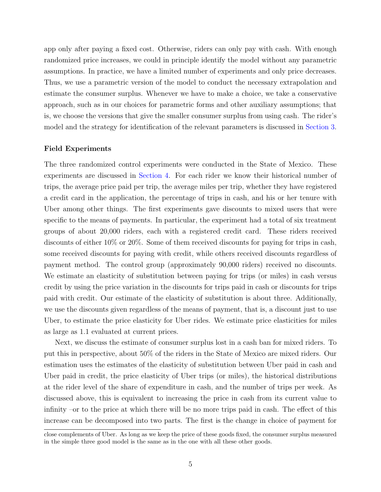app only after paying a fixed cost. Otherwise, riders can only pay with cash. With enough randomized price increases, we could in principle identify the model without any parametric assumptions. In practice, we have a limited number of experiments and only price decreases. Thus, we use a parametric version of the model to conduct the necessary extrapolation and estimate the consumer surplus. Whenever we have to make a choice, we take a conservative approach, such as in our choices for parametric forms and other auxiliary assumptions; that is, we choose the versions that give the smaller consumer surplus from using cash. The rider's model and the strategy for identification of the relevant parameters is discussed in [Section 3.](#page-12-0)

#### Field Experiments

The three randomized control experiments were conducted in the State of Mexico. These experiments are discussed in [Section 4.](#page-25-0) For each rider we know their historical number of trips, the average price paid per trip, the average miles per trip, whether they have registered a credit card in the application, the percentage of trips in cash, and his or her tenure with Uber among other things. The first experiments gave discounts to mixed users that were specific to the means of payments. In particular, the experiment had a total of six treatment groups of about 20,000 riders, each with a registered credit card. These riders received discounts of either 10% or 20%. Some of them received discounts for paying for trips in cash, some received discounts for paying with credit, while others received discounts regardless of payment method. The control group (approximately 90,000 riders) received no discounts. We estimate an elasticity of substitution between paying for trips (or miles) in cash versus credit by using the price variation in the discounts for trips paid in cash or discounts for trips paid with credit. Our estimate of the elasticity of substitution is about three. Additionally, we use the discounts given regardless of the means of payment, that is, a discount just to use Uber, to estimate the price elasticity for Uber rides. We estimate price elasticities for miles as large as 1.1 evaluated at current prices.

Next, we discuss the estimate of consumer surplus lost in a cash ban for mixed riders. To put this in perspective, about 50% of the riders in the State of Mexico are mixed riders. Our estimation uses the estimates of the elasticity of substitution between Uber paid in cash and Uber paid in credit, the price elasticity of Uber trips (or miles), the historical distributions at the rider level of the share of expenditure in cash, and the number of trips per week. As discussed above, this is equivalent to increasing the price in cash from its current value to infinity –or to the price at which there will be no more trips paid in cash. The effect of this increase can be decomposed into two parts. The first is the change in choice of payment for

close complements of Uber. As long as we keep the price of these goods fixed, the consumer surplus measured in the simple three good model is the same as in the one with all these other goods.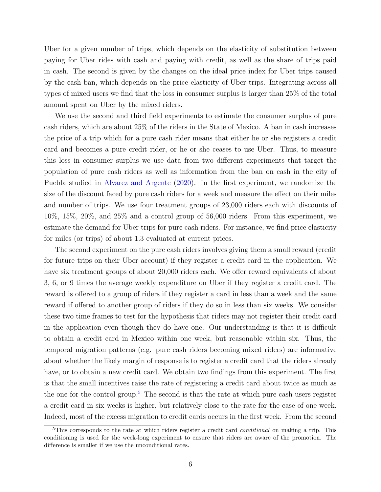Uber for a given number of trips, which depends on the elasticity of substitution between paying for Uber rides with cash and paying with credit, as well as the share of trips paid in cash. The second is given by the changes on the ideal price index for Uber trips caused by the cash ban, which depends on the price elasticity of Uber trips. Integrating across all types of mixed users we find that the loss in consumer surplus is larger than 25% of the total amount spent on Uber by the mixed riders.

We use the second and third field experiments to estimate the consumer surplus of pure cash riders, which are about 25% of the riders in the State of Mexico. A ban in cash increases the price of a trip which for a pure cash rider means that either he or she registers a credit card and becomes a pure credit rider, or he or she ceases to use Uber. Thus, to measure this loss in consumer surplus we use data from two different experiments that target the population of pure cash riders as well as information from the ban on cash in the city of Puebla studied in [Alvarez and Argente](#page-45-3) [\(2020\)](#page-45-3). In the first experiment, we randomize the size of the discount faced by pure cash riders for a week and measure the effect on their miles and number of trips. We use four treatment groups of 23,000 riders each with discounts of 10%, 15%, 20%, and 25% and a control group of 56,000 riders. From this experiment, we estimate the demand for Uber trips for pure cash riders. For instance, we find price elasticity for miles (or trips) of about 1.3 evaluated at current prices.

The second experiment on the pure cash riders involves giving them a small reward (credit for future trips on their Uber account) if they register a credit card in the application. We have six treatment groups of about 20,000 riders each. We offer reward equivalents of about 3, 6, or 9 times the average weekly expenditure on Uber if they register a credit card. The reward is offered to a group of riders if they register a card in less than a week and the same reward if offered to another group of riders if they do so in less than six weeks. We consider these two time frames to test for the hypothesis that riders may not register their credit card in the application even though they do have one. Our understanding is that it is difficult to obtain a credit card in Mexico within one week, but reasonable within six. Thus, the temporal migration patterns (e.g. pure cash riders becoming mixed riders) are informative about whether the likely margin of response is to register a credit card that the riders already have, or to obtain a new credit card. We obtain two findings from this experiment. The first is that the small incentives raise the rate of registering a credit card about twice as much as the one for the control group.<sup>[5](#page-7-0)</sup> The second is that the rate at which pure cash users register a credit card in six weeks is higher, but relatively close to the rate for the case of one week. Indeed, most of the excess migration to credit cards occurs in the first week. From the second

<span id="page-7-0"></span><sup>&</sup>lt;sup>5</sup>This corresponds to the rate at which riders register a credit card *conditional* on making a trip. This conditioning is used for the week-long experiment to ensure that riders are aware of the promotion. The difference is smaller if we use the unconditional rates.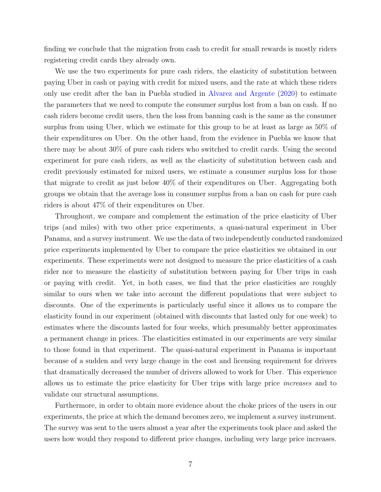finding we conclude that the migration from cash to credit for small rewards is mostly riders registering credit cards they already own.

We use the two experiments for pure cash riders, the elasticity of substitution between paying Uber in cash or paying with credit for mixed users, and the rate at which these riders only use credit after the ban in Puebla studied in [Alvarez and Argente](#page-45-3) [\(2020\)](#page-45-3) to estimate the parameters that we need to compute the consumer surplus lost from a ban on cash. If no cash riders become credit users, then the loss from banning cash is the same as the consumer surplus from using Uber, which we estimate for this group to be at least as large as 50% of their expenditures on Uber. On the other hand, from the evidence in Puebla we know that there may be about 30% of pure cash riders who switched to credit cards. Using the second experiment for pure cash riders, as well as the elasticity of substitution between cash and credit previously estimated for mixed users, we estimate a consumer surplus loss for those that migrate to credit as just below 40% of their expenditures on Uber. Aggregating both groups we obtain that the average loss in consumer surplus from a ban on cash for pure cash riders is about 47% of their expenditures on Uber.

Throughout, we compare and complement the estimation of the price elasticity of Uber trips (and miles) with two other price experiments, a quasi-natural experiment in Uber Panama, and a survey instrument. We use the data of two independently conducted randomized price experiments implemented by Uber to compare the price elasticities we obtained in our experiments. These experiments were not designed to measure the price elasticities of a cash rider nor to measure the elasticity of substitution between paying for Uber trips in cash or paying with credit. Yet, in both cases, we find that the price elasticities are roughly similar to ours when we take into account the different populations that were subject to discounts. One of the experiments is particularly useful since it allows us to compare the elasticity found in our experiment (obtained with discounts that lasted only for one week) to estimates where the discounts lasted for four weeks, which presumably better approximates a permanent change in prices. The elasticities estimated in our experiments are very similar to those found in that experiment. The quasi-natural experiment in Panama is important because of a sudden and very large change in the cost and licensing requirement for drivers that dramatically decreased the number of drivers allowed to work for Uber. This experience allows us to estimate the price elasticity for Uber trips with large price increases and to validate our structural assumptions.

Furthermore, in order to obtain more evidence about the choke prices of the users in our experiments, the price at which the demand becomes zero, we implement a survey instrument. The survey was sent to the users almost a year after the experiments took place and asked the users how would they respond to different price changes, including very large price increases.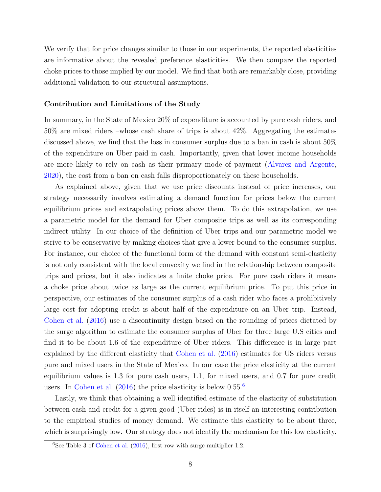We verify that for price changes similar to those in our experiments, the reported elasticities are informative about the revealed preference elasticities. We then compare the reported choke prices to those implied by our model. We find that both are remarkably close, providing additional validation to our structural assumptions.

#### Contribution and Limitations of the Study

In summary, in the State of Mexico 20% of expenditure is accounted by pure cash riders, and 50% are mixed riders –whose cash share of trips is about 42%. Aggregating the estimates discussed above, we find that the loss in consumer surplus due to a ban in cash is about 50% of the expenditure on Uber paid in cash. Importantly, given that lower income households are more likely to rely on cash as their primary mode of payment [\(Alvarez and Argente,](#page-45-3) [2020\)](#page-45-3), the cost from a ban on cash falls disproportionately on these households.

As explained above, given that we use price discounts instead of price increases, our strategy necessarily involves estimating a demand function for prices below the current equilibrium prices and extrapolating prices above them. To do this extrapolation, we use a parametric model for the demand for Uber composite trips as well as its corresponding indirect utility. In our choice of the definition of Uber trips and our parametric model we strive to be conservative by making choices that give a lower bound to the consumer surplus. For instance, our choice of the functional form of the demand with constant semi-elasticity is not only consistent with the local convexity we find in the relationship between composite trips and prices, but it also indicates a finite choke price. For pure cash riders it means a choke price about twice as large as the current equilibrium price. To put this price in perspective, our estimates of the consumer surplus of a cash rider who faces a prohibitively large cost for adopting credit is about half of the expenditure on an Uber trip. Instead, [Cohen et al.](#page-45-4) [\(2016\)](#page-45-4) use a discontinuity design based on the rounding of prices dictated by the surge algorithm to estimate the consumer surplus of Uber for three large U.S cities and find it to be about 1.6 of the expenditure of Uber riders. This difference is in large part explained by the different elasticity that [Cohen et al.](#page-45-4) [\(2016\)](#page-45-4) estimates for US riders versus pure and mixed users in the State of Mexico. In our case the price elasticity at the current equilibrium values is 1.3 for pure cash users, 1.1, for mixed users, and 0.7 for pure credit users. In [Cohen et al.](#page-45-4)  $(2016)$  the price elasticity is below  $0.55<sup>6</sup>$  $0.55<sup>6</sup>$  $0.55<sup>6</sup>$ 

Lastly, we think that obtaining a well identified estimate of the elasticity of substitution between cash and credit for a given good (Uber rides) is in itself an interesting contribution to the empirical studies of money demand. We estimate this elasticity to be about three, which is surprisingly low. Our strategy does not identify the mechanism for this low elasticity.

<span id="page-9-0"></span><sup>&</sup>lt;sup>6</sup>See Table 3 of [Cohen et al.](#page-45-4)  $(2016)$ , first row with surge multiplier 1.2.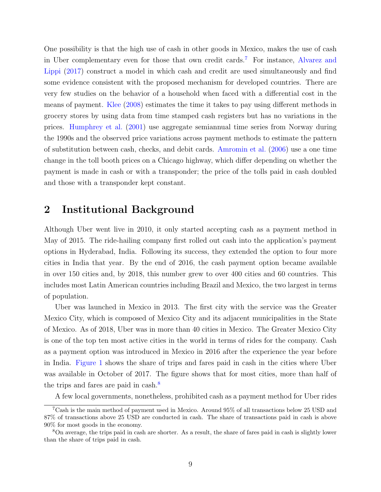One possibility is that the high use of cash in other goods in Mexico, makes the use of cash in Uber complementary even for those that own credit cards.[7](#page-10-1) For instance, [Alvarez and](#page-45-5) [Lippi](#page-45-5) [\(2017\)](#page-45-5) construct a model in which cash and credit are used simultaneously and find some evidence consistent with the proposed mechanism for developed countries. There are very few studies on the behavior of a household when faced with a differential cost in the means of payment. [Klee](#page-46-11) [\(2008\)](#page-46-11) estimates the time it takes to pay using different methods in grocery stores by using data from time stamped cash registers but has no variations in the prices. [Humphrey et al.](#page-45-6) [\(2001\)](#page-45-6) use aggregate semiannual time series from Norway during the 1990s and the observed price variations across payment methods to estimate the pattern of substitution between cash, checks, and debit cards. [Amromin et al.](#page-45-7) [\(2006\)](#page-45-7) use a one time change in the toll booth prices on a Chicago highway, which differ depending on whether the payment is made in cash or with a transponder; the price of the tolls paid in cash doubled and those with a transponder kept constant.

# <span id="page-10-0"></span>2 Institutional Background

Although Uber went live in 2010, it only started accepting cash as a payment method in May of 2015. The ride-hailing company first rolled out cash into the application's payment options in Hyderabad, India. Following its success, they extended the option to four more cities in India that year. By the end of 2016, the cash payment option became available in over 150 cities and, by 2018, this number grew to over 400 cities and 60 countries. This includes most Latin American countries including Brazil and Mexico, the two largest in terms of population.

Uber was launched in Mexico in 2013. The first city with the service was the Greater Mexico City, which is composed of Mexico City and its adjacent municipalities in the State of Mexico. As of 2018, Uber was in more than 40 cities in Mexico. The Greater Mexico City is one of the top ten most active cities in the world in terms of rides for the company. Cash as a payment option was introduced in Mexico in 2016 after the experience the year before in India. [Figure 1](#page-11-0) shows the share of trips and fares paid in cash in the cities where Uber was available in October of 2017. The figure shows that for most cities, more than half of the trips and fares are paid in cash.<sup>[8](#page-10-2)</sup>

<span id="page-10-1"></span>A few local governments, nonetheless, prohibited cash as a payment method for Uber rides

<sup>7</sup>Cash is the main method of payment used in Mexico. Around 95% of all transactions below 25 USD and 87% of transactions above 25 USD are conducted in cash. The share of transactions paid in cash is above 90% for most goods in the economy.

<span id="page-10-2"></span><sup>8</sup>On average, the trips paid in cash are shorter. As a result, the share of fares paid in cash is slightly lower than the share of trips paid in cash.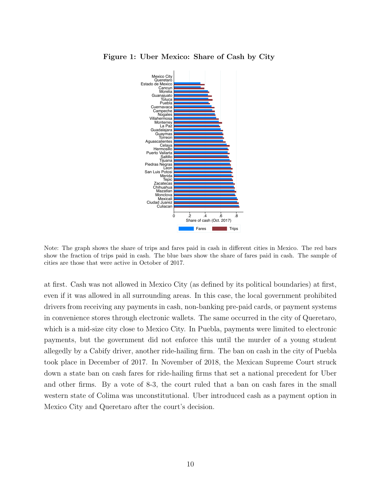<span id="page-11-0"></span>

Figure 1: Uber Mexico: Share of Cash by City

Note: The graph shows the share of trips and fares paid in cash in different cities in Mexico. The red bars show the fraction of trips paid in cash. The blue bars show the share of fares paid in cash. The sample of cities are those that were active in October of 2017.

at first. Cash was not allowed in Mexico City (as defined by its political boundaries) at first, even if it was allowed in all surrounding areas. In this case, the local government prohibited drivers from receiving any payments in cash, non-banking pre-paid cards, or payment systems in convenience stores through electronic wallets. The same occurred in the city of Queretaro, which is a mid-size city close to Mexico City. In Puebla, payments were limited to electronic payments, but the government did not enforce this until the murder of a young student allegedly by a Cabify driver, another ride-hailing firm. The ban on cash in the city of Puebla took place in December of 2017. In November of 2018, the Mexican Supreme Court struck down a state ban on cash fares for ride-hailing firms that set a national precedent for Uber and other firms. By a vote of 8-3, the court ruled that a ban on cash fares in the small western state of Colima was unconstitutional. Uber introduced cash as a payment option in Mexico City and Queretaro after the court's decision.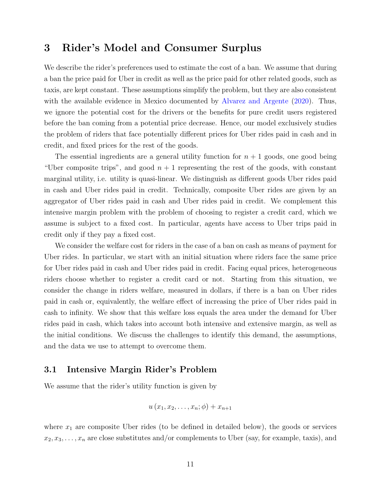# <span id="page-12-0"></span>3 Rider's Model and Consumer Surplus

We describe the rider's preferences used to estimate the cost of a ban. We assume that during a ban the price paid for Uber in credit as well as the price paid for other related goods, such as taxis, are kept constant. These assumptions simplify the problem, but they are also consistent with the available evidence in Mexico documented by [Alvarez and Argente](#page-45-3) [\(2020\)](#page-45-3). Thus, we ignore the potential cost for the drivers or the benefits for pure credit users registered before the ban coming from a potential price decrease. Hence, our model exclusively studies the problem of riders that face potentially different prices for Uber rides paid in cash and in credit, and fixed prices for the rest of the goods.

The essential ingredients are a general utility function for  $n + 1$  goods, one good being "Uber composite trips", and good  $n + 1$  representing the rest of the goods, with constant marginal utility, i.e. utility is quasi-linear. We distinguish as different goods Uber rides paid in cash and Uber rides paid in credit. Technically, composite Uber rides are given by an aggregator of Uber rides paid in cash and Uber rides paid in credit. We complement this intensive margin problem with the problem of choosing to register a credit card, which we assume is subject to a fixed cost. In particular, agents have access to Uber trips paid in credit only if they pay a fixed cost.

We consider the welfare cost for riders in the case of a ban on cash as means of payment for Uber rides. In particular, we start with an initial situation where riders face the same price for Uber rides paid in cash and Uber rides paid in credit. Facing equal prices, heterogeneous riders choose whether to register a credit card or not. Starting from this situation, we consider the change in riders welfare, measured in dollars, if there is a ban on Uber rides paid in cash or, equivalently, the welfare effect of increasing the price of Uber rides paid in cash to infinity. We show that this welfare loss equals the area under the demand for Uber rides paid in cash, which takes into account both intensive and extensive margin, as well as the initial conditions. We discuss the challenges to identify this demand, the assumptions, and the data we use to attempt to overcome them.

## 3.1 Intensive Margin Rider's Problem

We assume that the rider's utility function is given by

$$
u(x_1, x_2, \ldots, x_n; \phi) + x_{n+1}
$$

where  $x_1$  are composite Uber rides (to be defined in detailed below), the goods or services  $x_2, x_3, \ldots, x_n$  are close substitutes and/or complements to Uber (say, for example, taxis), and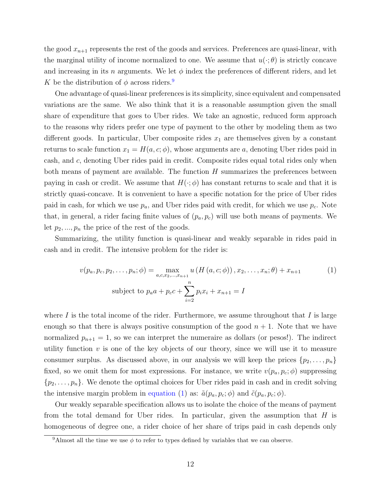the good  $x_{n+1}$  represents the rest of the goods and services. Preferences are quasi-linear, with the marginal utility of income normalized to one. We assume that  $u(\cdot;\theta)$  is strictly concave and increasing in its n arguments. We let  $\phi$  index the preferences of different riders, and let K be the distribution of  $\phi$  across riders.<sup>[9](#page-13-0)</sup>

One advantage of quasi-linear preferences is its simplicity, since equivalent and compensated variations are the same. We also think that it is a reasonable assumption given the small share of expenditure that goes to Uber rides. We take an agnostic, reduced form approach to the reasons why riders prefer one type of payment to the other by modeling them as two different goods. In particular, Uber composite rides  $x_1$  are themselves given by a constant returns to scale function  $x_1 = H(a, c; \phi)$ , whose arguments are a, denoting Uber rides paid in cash, and c, denoting Uber rides paid in credit. Composite rides equal total rides only when both means of payment are available. The function  $H$  summarizes the preferences between paying in cash or credit. We assume that  $H(\cdot; \phi)$  has constant returns to scale and that it is strictly quasi-concave. It is convenient to have a specific notation for the price of Uber rides paid in cash, for which we use  $p_a$ , and Uber rides paid with credit, for which we use  $p_c$ . Note that, in general, a rider facing finite values of  $(p_a, p_c)$  will use both means of payments. We let  $p_2, ..., p_n$  the price of the rest of the goods.

Summarizing, the utility function is quasi-linear and weakly separable in rides paid in cash and in credit. The intensive problem for the rider is:

<span id="page-13-1"></span>
$$
v(p_a, p_c, p_2, \dots, p_n; \phi) = \max_{a, c, x_2, \dots, x_{n+1}} u(H(a, c; \phi)), x_2, \dots, x_n; \theta) + x_{n+1}
$$
(1)  
subject to  $p_a a + p_c c + \sum_{i=2}^n p_i x_i + x_{n+1} = I$ 

where I is the total income of the rider. Furthermore, we assume throughout that I is large enough so that there is always positive consumption of the good  $n + 1$ . Note that we have normalized  $p_{n+1} = 1$ , so we can interpret the numeraire as dollars (or pesos!). The indirect utility function  $v$  is one of the key objects of our theory, since we will use it to measure consumer surplus. As discussed above, in our analysis we will keep the prices  $\{p_2, \ldots, p_n\}$ fixed, so we omit them for most expressions. For instance, we write  $v(p_a, p_c; \phi)$  suppressing  $\{p_2, \ldots, p_n\}$ . We denote the optimal choices for Uber rides paid in cash and in credit solving the intensive margin problem in [equation](#page-13-1) [\(1\)](#page-13-1) as:  $\tilde{a}(p_a, p_c; \phi)$  and  $\tilde{c}(p_a, p_c; \phi)$ .

Our weakly separable specification allows us to isolate the choice of the means of payment from the total demand for Uber rides. In particular, given the assumption that  $H$  is homogeneous of degree one, a rider choice of her share of trips paid in cash depends only

<span id="page-13-0"></span><sup>&</sup>lt;sup>9</sup>Almost all the time we use  $\phi$  to refer to types defined by variables that we can observe.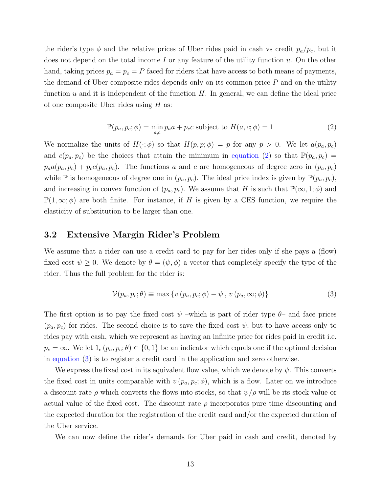the rider's type  $\phi$  and the relative prices of Uber rides paid in cash vs credit  $p_a/p_c$ , but it does not depend on the total income I or any feature of the utility function  $u$ . On the other hand, taking prices  $p_a = p_c = P$  faced for riders that have access to both means of payments, the demand of Uber composite rides depends only on its common price  $P$  and on the utility function  $u$  and it is independent of the function  $H$ . In general, we can define the ideal price of one composite Uber rides using H as:

<span id="page-14-0"></span>
$$
\mathbb{P}(p_a, p_c; \phi) = \min_{a,c} p_a a + p_c c \text{ subject to } H(a, c; \phi) = 1
$$
\n(2)

We normalize the units of  $H(\cdot; \phi)$  so that  $H(p, p; \phi) = p$  for any  $p > 0$ . We let  $a(p_a, p_c)$ and  $c(p_a, p_c)$  be the choices that attain the minimum in [equation](#page-14-0) [\(2\)](#page-14-0) so that  $\mathbb{P}(p_a, p_c)$  =  $p_a a(p_a, p_c) + p_c c(p_a, p_c)$ . The functions a and c are homogeneous of degree zero in  $(p_a, p_c)$ while  $\mathbb P$  is homogeneous of degree one in  $(p_a, p_c)$ . The ideal price index is given by  $\mathbb P(p_a, p_c)$ , and increasing in convex function of  $(p_a, p_c)$ . We assume that H is such that  $\mathbb{P}(\infty, 1; \phi)$  and  $\mathbb{P}(1,\infty;\phi)$  are both finite. For instance, if H is given by a CES function, we require the elasticity of substitution to be larger than one.

### 3.2 Extensive Margin Rider's Problem

We assume that a rider can use a credit card to pay for her rides only if she pays a (flow) fixed cost  $\psi \geq 0$ . We denote by  $\theta = (\psi, \phi)$  a vector that completely specify the type of the rider. Thus the full problem for the rider is:

<span id="page-14-1"></span>
$$
\mathcal{V}(p_a, p_c; \theta) \equiv \max \{ v (p_a, p_c; \phi) - \psi, v (p_a, \infty; \phi) \}
$$
\n(3)

The first option is to pay the fixed cost  $\psi$  –which is part of rider type  $\theta$ – and face prices  $(p_a, p_c)$  for rides. The second choice is to save the fixed cost  $\psi$ , but to have access only to rides pay with cash, which we represent as having an infinite price for rides paid in credit i.e.  $p_c = \infty$ . We let  $1_c$   $(p_a, p_c; \theta) \in \{0, 1\}$  be an indicator which equals one if the optimal decision in [equation](#page-14-1) [\(3\)](#page-14-1) is to register a credit card in the application and zero otherwise.

We express the fixed cost in its equivalent flow value, which we denote by  $\psi$ . This converts the fixed cost in units comparable with  $v(p_a, p_c; \phi)$ , which is a flow. Later on we introduce a discount rate  $\rho$  which converts the flows into stocks, so that  $\psi/\rho$  will be its stock value or actual value of the fixed cost. The discount rate  $\rho$  incorporates pure time discounting and the expected duration for the registration of the credit card and/or the expected duration of the Uber service.

We can now define the rider's demands for Uber paid in cash and credit, denoted by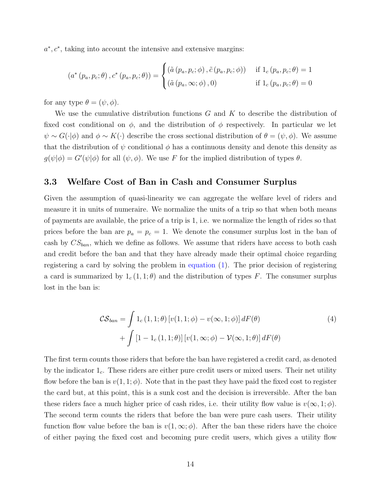$a^*, c^*$ , taking into account the intensive and extensive margins:

$$
(a^*(p_a, p_c; \theta), c^*(p_a, p_c; \theta)) = \begin{cases} (\tilde{a}(p_a, p_c; \phi), \tilde{c}(p_a, p_c; \phi)) & \text{if } 1_c(p_a, p_c; \theta) = 1\\ (\tilde{a}(p_a, \infty; \phi), 0) & \text{if } 1_c(p_a, p_c; \theta) = 0 \end{cases}
$$

for any type  $\theta = (\psi, \phi)$ .

We use the cumulative distribution functions  $G$  and  $K$  to describe the distribution of fixed cost conditional on  $\phi$ , and the distribution of  $\phi$  respectively. In particular we let  $\psi \sim G(\cdot | \phi)$  and  $\phi \sim K(\cdot)$  describe the cross sectional distribution of  $\theta = (\psi, \phi)$ . We assume that the distribution of  $\psi$  conditional  $\phi$  has a continuous density and denote this density as  $g(\psi|\phi) = G'(\psi|\phi)$  for all  $(\psi, \phi)$ . We use F for the implied distribution of types  $\theta$ .

## 3.3 Welfare Cost of Ban in Cash and Consumer Surplus

Given the assumption of quasi-linearity we can aggregate the welfare level of riders and measure it in units of numeraire. We normalize the units of a trip so that when both means of payments are available, the price of a trip is 1, i.e. we normalize the length of rides so that prices before the ban are  $p_a = p_c = 1$ . We denote the consumer surplus lost in the ban of cash by  $CS_{ban}$ , which we define as follows. We assume that riders have access to both cash and credit before the ban and that they have already made their optimal choice regarding registering a card by solving the problem in [equation](#page-13-1) [\(1\)](#page-13-1). The prior decision of registering a card is summarized by  $1_c (1, 1; \theta)$  and the distribution of types F. The consumer surplus lost in the ban is:

$$
\mathcal{CS}_{ban} = \int 1_c (1, 1; \theta) \left[ v(1, 1; \phi) - v(\infty, 1; \phi) \right] dF(\theta)
$$
  
+ 
$$
\int \left[ 1 - 1_c (1, 1; \theta) \right] \left[ v(1, \infty; \phi) - \mathcal{V}(\infty, 1; \theta) \right] dF(\theta)
$$
 (4)

The first term counts those riders that before the ban have registered a credit card, as denoted by the indicator  $1_c$ . These riders are either pure credit users or mixed users. Their net utility flow before the ban is  $v(1, 1; \phi)$ . Note that in the past they have paid the fixed cost to register the card but, at this point, this is a sunk cost and the decision is irreversible. After the ban these riders face a much higher price of cash rides, i.e. their utility flow value is  $v(\infty, 1; \phi)$ . The second term counts the riders that before the ban were pure cash users. Their utility function flow value before the ban is  $v(1,\infty;\phi)$ . After the ban these riders have the choice of either paying the fixed cost and becoming pure credit users, which gives a utility flow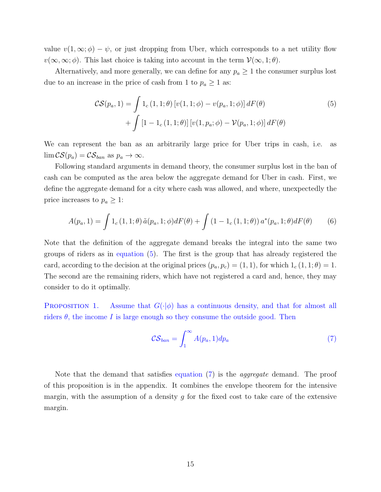value  $v(1,\infty;\phi) - \psi$ , or just dropping from Uber, which corresponds to a net utility flow  $v(\infty,\infty;\phi)$ . This last choice is taking into account in the term  $\mathcal{V}(\infty,1;\theta)$ .

Alternatively, and more generally, we can define for any  $p_a \geq 1$  the consumer surplus lost due to an increase in the price of cash from 1 to  $p_a \ge 1$  as:

<span id="page-16-0"></span>
$$
\mathcal{CS}(p_a, 1) = \int 1_c (1, 1; \theta) [v(1, 1; \phi) - v(p_a, 1; \phi)] dF(\theta) + \int [1 - 1_c (1, 1; \theta)] [v(1, p_a; \phi) - \mathcal{V}(p_a, 1; \phi)] dF(\theta)
$$
(5)

We can represent the ban as an arbitrarily large price for Uber trips in cash, i.e. as  $\lim \mathcal{CS}(p_a) = \mathcal{CS}_{ban}$  as  $p_a \to \infty$ .

Following standard arguments in demand theory, the consumer surplus lost in the ban of cash can be computed as the area below the aggregate demand for Uber in cash. First, we define the aggregate demand for a city where cash was allowed, and where, unexpectedly the price increases to  $p_a \geq 1$ :

$$
A(p_a, 1) = \int 1_c(1, 1; \theta) \, \tilde{a}(p_a, 1; \phi) dF(\theta) + \int (1 - 1_c(1, 1; \theta)) \, a^*(p_a, 1; \theta) dF(\theta) \tag{6}
$$

Note that the definition of the aggregate demand breaks the integral into the same two groups of riders as in [equation](#page-16-0) [\(5\)](#page-16-0). The first is the group that has already registered the card, according to the decision at the original prices  $(p_a, p_c) = (1, 1)$ , for which  $1_c(1, 1; \theta) = 1$ . The second are the remaining riders, which have not registered a card and, hence, they may consider to do it optimally.

<span id="page-16-2"></span>**PROPOSITION 1.** Assume that  $G(\cdot|\phi)$  has a continuous density, and that for almost all riders  $\theta$ , the income I is large enough so they consume the outside good. Then

<span id="page-16-1"></span>
$$
\mathcal{CS}_{ban} = \int_1^\infty A(p_a, 1) dp_a \tag{7}
$$

Note that the demand that satisfies [equation](#page-16-1) [\(7\)](#page-16-1) is the aggregate demand. The proof of this proposition is in the appendix. It combines the envelope theorem for the intensive margin, with the assumption of a density  $g$  for the fixed cost to take care of the extensive margin.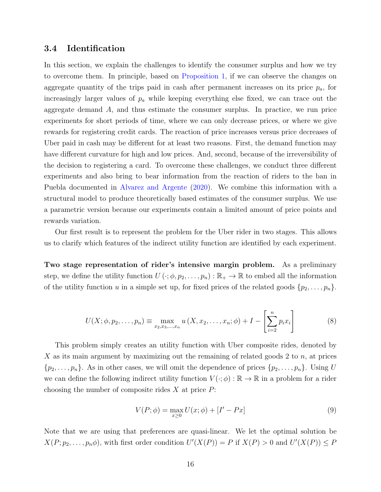### 3.4 Identification

In this section, we explain the challenges to identify the consumer surplus and how we try to overcome them. In principle, based on [Proposition 1,](#page-16-2) if we can observe the changes on aggregate quantity of the trips paid in cash after permanent increases on its price  $p_a$ , for increasingly larger values of  $p_a$  while keeping everything else fixed, we can trace out the aggregate demand A, and thus estimate the consumer surplus. In practice, we run price experiments for short periods of time, where we can only decrease prices, or where we give rewards for registering credit cards. The reaction of price increases versus price decreases of Uber paid in cash may be different for at least two reasons. First, the demand function may have different curvature for high and low prices. And, second, because of the irreversibility of the decision to registering a card. To overcome these challenges, we conduct three different experiments and also bring to bear information from the reaction of riders to the ban in Puebla documented in [Alvarez and Argente](#page-45-3) [\(2020\)](#page-45-3). We combine this information with a structural model to produce theoretically based estimates of the consumer surplus. We use a parametric version because our experiments contain a limited amount of price points and rewards variation.

Our first result is to represent the problem for the Uber rider in two stages. This allows us to clarify which features of the indirect utility function are identified by each experiment.

Two stage representation of rider's intensive margin problem. As a preliminary step, we define the utility function  $U(\cdot;\phi,p_2,\ldots,p_n): \mathbb{R}_+ \to \mathbb{R}$  to embed all the information of the utility function u in a simple set up, for fixed prices of the related goods  $\{p_2, \ldots, p_n\}$ .

$$
U(X; \phi, p_2, \dots, p_n) \equiv \max_{x_2, x_3, \dots, x_n} u(X, x_2, \dots, x_n; \phi) + I - \left[ \sum_{i=2}^n p_i x_i \right]
$$
(8)

This problem simply creates an utility function with Uber composite rides, denoted by X as its main argument by maximizing out the remaining of related goods 2 to  $n$ , at prices  $\{p_2, \ldots, p_n\}$ . As in other cases, we will omit the dependence of prices  $\{p_2, \ldots, p_n\}$ . Using U we can define the following indirect utility function  $V(\cdot;\phi): \mathbb{R} \to \mathbb{R}$  in a problem for a rider choosing the number of composite rides  $X$  at price  $P$ :

<span id="page-17-1"></span><span id="page-17-0"></span>
$$
V(P; \phi) = \max_{x \ge 0} U(x; \phi) + [I' - Px]
$$
 (9)

Note that we are using that preferences are quasi-linear. We let the optimal solution be  $X(P; p_2, \ldots, p_n \phi)$ , with first order condition  $U'(X(P)) = P$  if  $X(P) > 0$  and  $U'(X(P)) \leq P$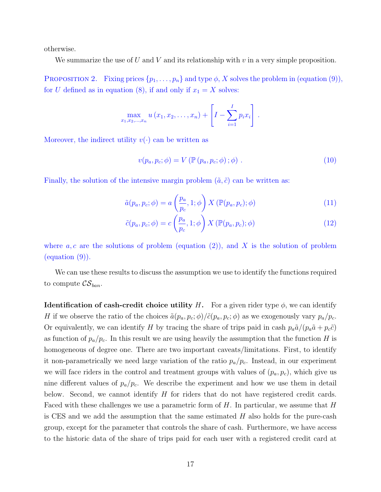otherwise.

We summarize the use of U and V and its relationship with  $v$  in a very simple proposition.

PROPOSITION 2. Fixing prices  $\{p_1, \ldots, p_n\}$  and type  $\phi$ , X solves the problem in [\(equation](#page-17-0) [\(9\)](#page-17-0)), for U defined as in [equation](#page-17-1) [\(8\)](#page-17-1), if and only if  $x_1 = X$  solves:

$$
\max_{x_1, x_2, ..., x_n} u(x_1, x_2, ..., x_n) + \left[I - \sum_{i=1}^I p_i x_i\right].
$$

Moreover, the indirect utility  $v(\cdot)$  can be written as

$$
v(p_a, p_c; \phi) = V(\mathbb{P}(p_a, p_c; \phi); \phi).
$$
 (10)

Finally, the solution of the intensive margin problem  $(\tilde{a}, \tilde{c})$  can be written as:

$$
\tilde{a}(p_a, p_c; \phi) = a\left(\frac{p_a}{p_c}, 1; \phi\right) X\left(\mathbb{P}(p_a, p_c); \phi\right) \tag{11}
$$

$$
\tilde{c}(p_a, p_c; \phi) = c \left(\frac{p_a}{p_c}, 1; \phi\right) X \left(\mathbb{P}(p_a, p_c); \phi\right) \tag{12}
$$

where  $a, c$  are the solutions of problem [\(equation](#page-14-0) [\(2\)](#page-14-0)), and X is the solution of problem [\(equation](#page-17-0) [\(9\)](#page-17-0)).

We can use these results to discuss the assumption we use to identify the functions required to compute  $\mathcal{CS}_{ban}$ .

<span id="page-18-0"></span>**Identification of cash-credit choice utility H.** For a given rider type  $\phi$ , we can identify H if we observe the ratio of the choices  $\tilde{a}(p_a, p_c; \phi)/\tilde{c}(p_a, p_c; \phi)$  as we exogenously vary  $p_a/p_c$ . Or equivalently, we can identify H by tracing the share of trips paid in cash  $p_a\tilde{a}/(p_a\tilde{a}+p_c\tilde{c})$ as function of  $p_a/p_c$ . In this result we are using heavily the assumption that the function H is homogeneous of degree one. There are two important caveats/limitations. First, to identify it non-parametrically we need large variation of the ratio  $p_a/p_c$ . Instead, in our experiment we will face riders in the control and treatment groups with values of  $(p_a, p_c)$ , which give us nine different values of  $p_a/p_c$ . We describe the experiment and how we use them in detail below. Second, we cannot identify  $H$  for riders that do not have registered credit cards. Faced with these challenges we use a parametric form of  $H$ . In particular, we assume that  $H$ is CES and we add the assumption that the same estimated  $H$  also holds for the pure-cash group, except for the parameter that controls the share of cash. Furthermore, we have access to the historic data of the share of trips paid for each user with a registered credit card at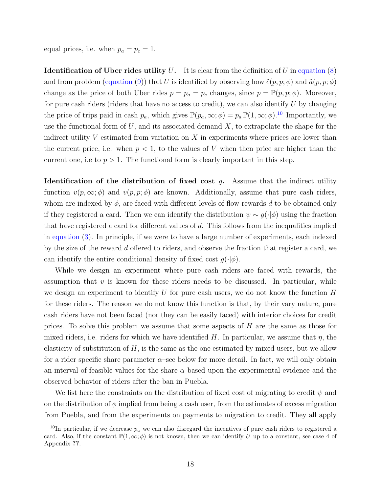equal prices, i.e. when  $p_a = p_c = 1$ .

<span id="page-19-1"></span>**Identification of Uber rides utility U.** It is clear from the definition of U in [equation](#page-17-1)  $(8)$ and from problem [\(equation](#page-17-0) [\(9\)](#page-17-0)) that U is identified by observing how  $\tilde{c}(p, p; \phi)$  and  $\tilde{a}(p, p; \phi)$ change as the price of both Uber rides  $p = p_a = p_c$  changes, since  $p = \mathbb{P}(p, p; \phi)$ . Moreover, for pure cash riders (riders that have no access to credit), we can also identify  $U$  by changing the price of trips paid in cash  $p_a$ , which gives  $\mathbb{P}(p_a,\infty;\phi) = p_a \mathbb{P}(1,\infty;\phi)$ .<sup>[10](#page-19-0)</sup> Importantly, we use the functional form of  $U$ , and its associated demand  $X$ , to extrapolate the shape for the indirect utility V estimated from variation on X in experiments where prices are lower than the current price, i.e. when  $p < 1$ , to the values of V when then price are higher than the current one, i.e to  $p > 1$ . The functional form is clearly important in this step.

**Identification of the distribution of fixed cost**  $g$ . Assume that the indirect utility function  $v(p,\infty;\phi)$  and  $v(p,p;\phi)$  are known. Additionally, assume that pure cash riders, whom are indexed by  $\phi$ , are faced with different levels of flow rewards d to be obtained only if they registered a card. Then we can identify the distribution  $\psi \sim g(\cdot | \phi)$  using the fraction that have registered a card for different values of  $d$ . This follows from the inequalities implied in [equation](#page-14-1) [\(3\)](#page-14-1). In principle, if we were to have a large number of experiments, each indexed by the size of the reward d offered to riders, and observe the fraction that register a card, we can identify the entire conditional density of fixed cost  $g(\cdot|\phi)$ .

While we design an experiment where pure cash riders are faced with rewards, the assumption that  $v$  is known for these riders needs to be discussed. In particular, while we design an experiment to identify U for pure cash users, we do not know the function  $H$ for these riders. The reason we do not know this function is that, by their vary nature, pure cash riders have not been faced (nor they can be easily faced) with interior choices for credit prices. To solve this problem we assume that some aspects of  $H$  are the same as those for mixed riders, i.e. riders for which we have identified H. In particular, we assume that  $\eta$ , the elasticity of substitution of  $H$ , is the same as the one estimated by mixed users, but we allow for a rider specific share parameter  $\alpha$ –see below for more detail. In fact, we will only obtain an interval of feasible values for the share  $\alpha$  based upon the experimental evidence and the observed behavior of riders after the ban in Puebla.

We list here the constraints on the distribution of fixed cost of migrating to credit  $\psi$  and on the distribution of  $\phi$  implied from being a cash user, from the estimates of excess migration from Puebla, and from the experiments on payments to migration to credit. They all apply

<span id="page-19-0"></span><sup>&</sup>lt;sup>10</sup>In particular, if we decrease  $p_a$  we can also disregard the incentives of pure cash riders to registered a card. Also, if the constant  $\mathbb{P}(1,\infty;\phi)$  is not known, then we can identify U up to a constant, see case 4 of Appendix ??.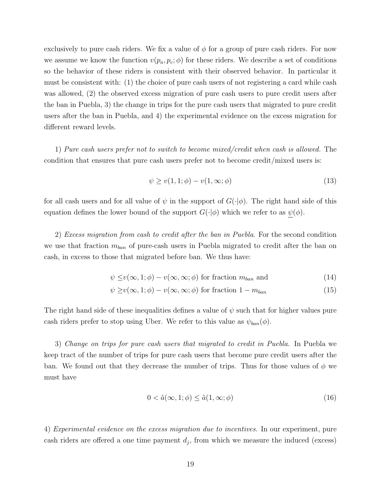exclusively to pure cash riders. We fix a value of  $\phi$  for a group of pure cash riders. For now we assume we know the function  $v(p_a, p_c; \phi)$  for these riders. We describe a set of conditions so the behavior of these riders is consistent with their observed behavior. In particular it must be consistent with: (1) the choice of pure cash users of not registering a card while cash was allowed, (2) the observed excess migration of pure cash users to pure credit users after the ban in Puebla, 3) the change in trips for the pure cash users that migrated to pure credit users after the ban in Puebla, and 4) the experimental evidence on the excess migration for different reward levels.

1) Pure cash users prefer not to switch to become mixed/credit when cash is allowed. The condition that ensures that pure cash users prefer not to become credit/mixed users is:

<span id="page-20-1"></span><span id="page-20-0"></span>
$$
\psi \ge v(1, 1; \phi) - v(1, \infty; \phi) \tag{13}
$$

for all cash users and for all value of  $\psi$  in the support of  $G(\cdot|\phi)$ . The right hand side of this equation defines the lower bound of the support  $G(\cdot|\phi)$  which we refer to as  $\psi(\phi)$ .

2) Excess migration from cash to credit after the ban in Puebla. For the second condition we use that fraction  $m_{ban}$  of pure-cash users in Puebla migrated to credit after the ban on cash, in excess to those that migrated before ban. We thus have:

$$
\psi \leq v(\infty, 1; \phi) - v(\infty, \infty; \phi) \text{ for fraction } m_{ban} \text{ and } (14)
$$

$$
\psi \ge v(\infty, 1; \phi) - v(\infty, \infty; \phi) \text{ for fraction } 1 - m_{ban}
$$
\n(15)

The right hand side of these inequalities defines a value of  $\psi$  such that for higher values pure cash riders prefer to stop using Uber. We refer to this value as  $\psi_{ban}(\phi)$ .

3) Change on trips for pure cash users that migrated to credit in Puebla. In Puebla we keep tract of the number of trips for pure cash users that become pure credit users after the ban. We found out that they decrease the number of trips. Thus for those values of  $\phi$  we must have

$$
0 < \tilde{a}(\infty, 1; \phi) \le \tilde{a}(1, \infty; \phi) \tag{16}
$$

4) Experimental evidence on the excess migration due to incentives. In our experiment, pure cash riders are offered a one time payment  $d_j$ , from which we measure the induced (excess)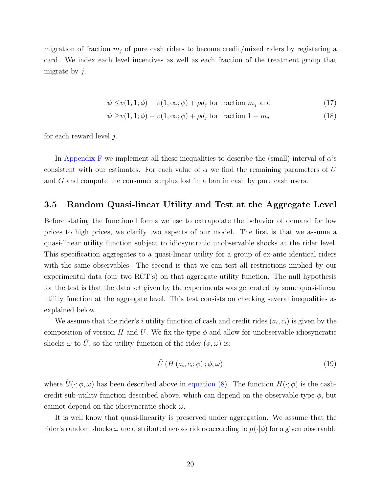migration of fraction  $m_j$  of pure cash riders to become credit/mixed riders by registering a card. We index each level incentives as well as each fraction of the treatment group that migrate by  $j$ .

<span id="page-21-1"></span>
$$
\psi \le v(1, 1; \phi) - v(1, \infty; \phi) + \rho d_j \text{ for fraction } m_j \text{ and } (17)
$$

$$
\psi \ge v(1, 1; \phi) - v(1, \infty; \phi) + \rho d_j \text{ for fraction } 1 - m_j \tag{18}
$$

for each reward level  $i$ .

In [Appendix F](#page--1-0) we implement all these inequalities to describe the (small) interval of  $\alpha$ 's consistent with our estimates. For each value of  $\alpha$  we find the remaining parameters of U and G and compute the consumer surplus lost in a ban in cash by pure cash users.

## <span id="page-21-0"></span>3.5 Random Quasi-linear Utility and Test at the Aggregate Level

Before stating the functional forms we use to extrapolate the behavior of demand for low prices to high prices, we clarify two aspects of our model. The first is that we assume a quasi-linear utility function subject to idiosyncratic unobservable shocks at the rider level. This specification aggregates to a quasi-linear utility for a group of ex-ante identical riders with the same observables. The second is that we can test all restrictions implied by our experimental data (our two RCT's) on that aggregate utility function. The null hypothesis for the test is that the data set given by the experiments was generated by some quasi-linear utility function at the aggregate level. This test consists on checking several inequalities as explained below.

We assume that the rider's i utility function of cash and credit rides  $(a_i, c_i)$  is given by the composition of version H and  $\tilde{U}$ . We fix the type  $\phi$  and allow for unobservable idiosyncratic shocks  $\omega$  to  $\tilde{U}$ , so the utility function of the rider  $(\phi, \omega)$  is:

$$
\tilde{U}\left(H\left(a_{i},c_{i};\phi\right);\phi,\omega\right) \tag{19}
$$

where  $\tilde{U}(\cdot;\phi,\omega)$  has been described above in [equation](#page-17-1) [\(8\)](#page-17-1). The function  $H(\cdot;\phi)$  is the cashcredit sub-utility function described above, which can depend on the observable type  $\phi$ , but cannot depend on the idiosyncratic shock  $\omega$ .

It is well know that quasi-linearity is preserved under aggregation. We assume that the rider's random shocks  $\omega$  are distributed across riders according to  $\mu(\cdot|\phi)$  for a given observable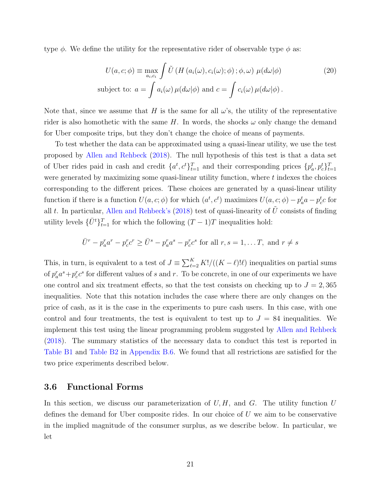type  $\phi$ . We define the utility for the representative rider of observable type  $\phi$  as:

$$
U(a, c; \phi) \equiv \max_{a_i, c_i} \int \tilde{U} \left( H \left( a_i(\omega), c_i(\omega); \phi \right); \phi, \omega \right) \mu(d\omega|\phi)
$$
\nsubject to:

\n
$$
a = \int a_i(\omega) \mu(d\omega|\phi) \text{ and } c = \int c_i(\omega) \mu(d\omega|\phi).
$$
\n(20)

Note that, since we assume that H is the same for all  $\omega$ 's, the utility of the representative rider is also homothetic with the same H. In words, the shocks  $\omega$  only change the demand for Uber composite trips, but they don't change the choice of means of payments.

To test whether the data can be approximated using a quasi-linear utility, we use the test proposed by [Allen and Rehbeck](#page-45-8) [\(2018\)](#page-45-8). The null hypothesis of this test is that a data set of Uber rides paid in cash and credit  $\{a^t, c^t\}_{t=1}^T$  and their corresponding prices  $\{p_a^t, p_c^t\}_{t=1}^T$ were generated by maximizing some quasi-linear utility function, where  $t$  indexes the choices corresponding to the different prices. These choices are generated by a quasi-linear utility function if there is a function  $U(a, c; \phi)$  for which  $(a^t, c^t)$  maximizes  $U(a, c; \phi) - p_a^t a - p_c^t c$  for all t. In particular, [Allen and Rehbeck'](#page-45-8)s [\(2018\)](#page-45-8) test of quasi-linearity of  $\tilde{U}$  consists of finding utility levels  $\{\bar{U}^t\}_{t=1}^T$  for which the following  $(T-1)T$  inequalities hold:

$$
\bar{U}^r - p_a^r a^r - p_c^r c^r \ge \bar{U}^s - p_a^r a^s - p_c^r c^s
$$
 for all  $r, s = 1, \dots T$ , and  $r \ne s$ 

This, in turn, is equivalent to a test of  $J \equiv \sum_{\ell=2}^{K} K! / ((K - \ell)! \ell)$  inequalities on partial sums of  $p_a^r a^s + p_c^r c^s$  for different values of s and r. To be concrete, in one of our experiments we have one control and six treatment effects, so that the test consists on checking up to  $J = 2,365$ inequalities. Note that this notation includes the case where there are only changes on the price of cash, as it is the case in the experiments to pure cash users. In this case, with one control and four treatments, the test is equivalent to test up to  $J = 84$  inequalities. We implement this test using the linear programming problem suggested by [Allen and Rehbeck](#page-45-8) [\(2018\)](#page-45-8). The summary statistics of the necessary data to conduct this test is reported in [Table B1](#page--1-0) and [Table B2](#page--1-0) in [Appendix B.6.](#page--1-0) We found that all restrictions are satisfied for the two price experiments described below.

### <span id="page-22-0"></span>3.6 Functional Forms

In this section, we discuss our parameterization of  $U, H$ , and  $G$ . The utility function  $U$ defines the demand for Uber composite rides. In our choice of  $U$  we aim to be conservative in the implied magnitude of the consumer surplus, as we describe below. In particular, we let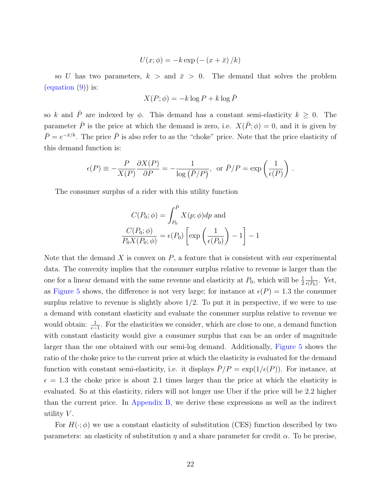$$
U(x; \phi) = -k \exp\left(-\left(x + \bar{x}\right)/k\right)
$$

so U has two parameters,  $k >$  and  $\bar{x} > 0$ . The demand that solves the problem  $\left($ equation  $(9)$ ) is:

$$
X(P; \phi) = -k \log P + k \log \bar{P}
$$

so k and  $\overline{P}$  are indexed by  $\phi$ . This demand has a constant semi-elasticity  $k \geq 0$ . The parameter  $\overline{P}$  is the price at which the demand is zero, i.e.  $X(\overline{P}; \phi) = 0$ , and it is given by  $\bar{P}=e^{-\bar{x}/k}$ . The price  $\bar{P}$  is also refer to as the "choke" price. Note that the price elasticity of this demand function is:

$$
\epsilon(P) \equiv -\frac{P}{X(P)} \frac{\partial X(P)}{\partial P} = -\frac{1}{\log(\bar{P}/P)}, \text{ or } \bar{P}/P = \exp\left(\frac{1}{\epsilon(P)}\right).
$$

The consumer surplus of a rider with this utility function

$$
C(P_0; \phi) = \int_{P_0}^{\overline{P}} X(p; \phi) dp \text{ and}
$$

$$
\frac{C(P_0; \phi)}{P_0 X(P_0; \phi)} = \epsilon(P_0) \left[ \exp\left(\frac{1}{\epsilon(P_0)}\right) - 1 \right] - 1
$$

Note that the demand X is convex on  $P$ , a feature that is consistent with our experimental data. The convexity implies that the consumer surplus relative to revenue is larger than the one for a linear demand with the same revenue and elasticity at  $P_0$ , which will be  $\frac{1}{2}$ 1  $\frac{1}{\epsilon(P_0)}$ . Yet, as [Figure 5](#page-33-0) shows, the difference is not very large; for instance at  $\epsilon(P) = 1.3$  the consumer surplus relative to revenue is slightly above  $1/2$ . To put it in perspective, if we were to use a demand with constant elasticity and evaluate the consumer surplus relative to revenue we would obtain:  $\frac{1}{\epsilon-1}$ . For the elasticities we consider, which are close to one, a demand function with constant elasticity would give a consumer surplus that can be an order of magnitude larger than the one obtained with our semi-log demand. Additionally, [Figure 5](#page-33-0) shows the ratio of the choke price to the current price at which the elasticity is evaluated for the demand function with constant semi-elasticity, i.e. it displays  $\bar{P}/P = \exp(1/\epsilon(P))$ . For instance, at  $\epsilon = 1.3$  the choke price is about 2.1 times larger than the price at which the elasticity is evaluated. So at this elasticity, riders will not longer use Uber if the price will be 2.2 higher than the current price. In [Appendix B,](#page--1-0) we derive these expressions as well as the indirect utility  $V$ .

For  $H(\cdot;\phi)$  we use a constant elasticity of substitution (CES) function described by two parameters: an elasticity of substitution  $\eta$  and a share parameter for credit  $\alpha$ . To be precise,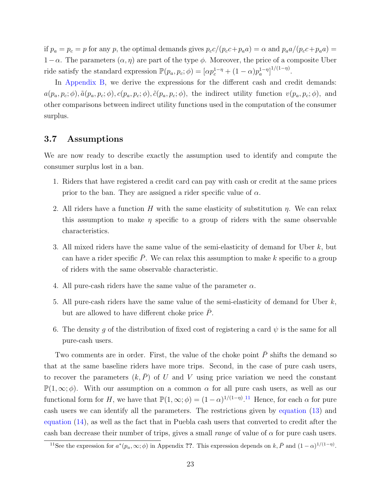if  $p_a = p_c = p$  for any p, the optimal demands gives  $p_c c/(p_c c + p_a a) = \alpha$  and  $p_a a/(p_c c + p_a a) =$  $1-\alpha$ . The parameters  $(\alpha, \eta)$  are part of the type  $\phi$ . Moreover, the price of a composite Uber ride satisfy the standard expression  $\mathbb{P}(p_a, p_c; \phi) = [\alpha p_c^{1-\eta} + (1-\alpha)p_a^{1-\eta}]^{1/(1-\eta)}$ .

In [Appendix B,](#page--1-0) we derive the expressions for the different cash and credit demands:  $a(p_a, p_c; \phi), \tilde{a}(p_a, p_c; \phi), c(p_a, p_c; \phi), \tilde{c}(p_a, p_c; \phi)$ , the indirect utility function  $v(p_a, p_c; \phi)$ , and other comparisons between indirect utility functions used in the computation of the consumer surplus.

## 3.7 Assumptions

We are now ready to describe exactly the assumption used to identify and compute the consumer surplus lost in a ban.

- 1. Riders that have registered a credit card can pay with cash or credit at the same prices prior to the ban. They are assigned a rider specific value of  $\alpha$ .
- 2. All riders have a function H with the same elasticity of substitution  $\eta$ . We can relax this assumption to make  $\eta$  specific to a group of riders with the same observable characteristics.
- 3. All mixed riders have the same value of the semi-elasticity of demand for Uber  $k$ , but can have a rider specific  $P$ . We can relax this assumption to make k specific to a group of riders with the same observable characteristic.
- 4. All pure-cash riders have the same value of the parameter  $\alpha$ .
- 5. All pure-cash riders have the same value of the semi-elasticity of demand for Uber  $k$ , but are allowed to have different choke price  $\overline{P}$ .
- 6. The density q of the distribution of fixed cost of registering a card  $\psi$  is the same for all pure-cash users.

Two comments are in order. First, the value of the choke point  $\overline{P}$  shifts the demand so that at the same baseline riders have more trips. Second, in the case of pure cash users, to recover the parameters  $(k, \overline{P})$  of U and V using price variation we need the constant  $\mathbb{P}(1,\infty;\phi)$ . With our assumption on a common  $\alpha$  for all pure cash users, as well as our functional form for H, we have that  $\mathbb{P}(1,\infty;\phi) = (1-\alpha)^{1/(1-\eta)}$ .<sup>[11](#page-24-0)</sup> Hence, for each  $\alpha$  for pure cash users we can identify all the parameters. The restrictions given by [equation](#page-20-0) [\(13\)](#page-20-0) and [equation](#page-20-1) [\(14\)](#page-20-1), as well as the fact that in Puebla cash users that converted to credit after the cash ban decrease their number of trips, gives a small *range* of value of  $\alpha$  for pure cash users.

<span id="page-24-0"></span><sup>&</sup>lt;sup>11</sup>See the expression for  $a^*(p_a,\infty;\phi)$  in Appendix ??. This expression depends on  $k, \bar{P}$  and  $(1-\alpha)^{1/(1-\eta)}$ .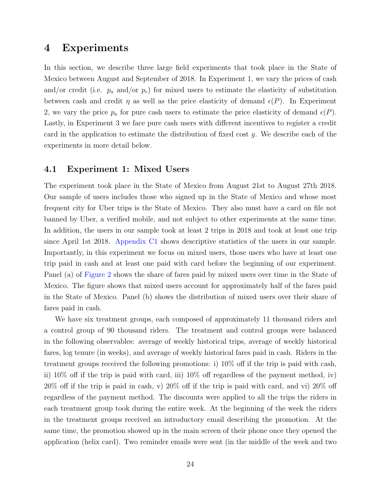# <span id="page-25-0"></span>4 Experiments

In this section, we describe three large field experiments that took place in the State of Mexico between August and September of 2018. In Experiment 1, we vary the prices of cash and/or credit (i.e.  $p_a$  and/or  $p_c$ ) for mixed users to estimate the elasticity of substitution between cash and credit  $\eta$  as well as the price elasticity of demand  $\epsilon(P)$ . In Experiment 2, we vary the price  $p_a$  for pure cash users to estimate the price elasticity of demand  $\epsilon(P)$ . Lastly, in Experiment 3 we face pure cash users with different incentives to register a credit card in the application to estimate the distribution of fixed cost g. We describe each of the experiments in more detail below.

### 4.1 Experiment 1: Mixed Users

The experiment took place in the State of Mexico from August 21st to August 27th 2018. Our sample of users includes those who signed up in the State of Mexico and whose most frequent city for Uber trips is the State of Mexico. They also must have a card on file not banned by Uber, a verified mobile, and not subject to other experiments at the same time. In addition, the users in our sample took at least 2 trips in 2018 and took at least one trip since April 1st 2018. [Appendix C1](#page--1-0) shows descriptive statistics of the users in our sample. Importantly, in this experiment we focus on mixed users, those users who have at least one trip paid in cash and at least one paid with card before the beginning of our experiment. Panel (a) of [Figure 2](#page-26-0) shows the share of fares paid by mixed users over time in the State of Mexico. The figure shows that mixed users account for approximately half of the fares paid in the State of Mexico. Panel (b) shows the distribution of mixed users over their share of fares paid in cash.

We have six treatment groups, each composed of approximately 11 thousand riders and a control group of 90 thousand riders. The treatment and control groups were balanced in the following observables: average of weekly historical trips, average of weekly historical fares, log tenure (in weeks), and average of weekly historical fares paid in cash. Riders in the treatment groups received the following promotions: i) 10% off if the trip is paid with cash, ii) 10% off if the trip is paid with card, iii) 10% off regardless of the payment method, iv) 20% off if the trip is paid in cash, v) 20% off if the trip is paid with card, and vi) 20% off regardless of the payment method. The discounts were applied to all the trips the riders in each treatment group took during the entire week. At the beginning of the week the riders in the treatment groups received an introductory email describing the promotion. At the same time, the promotion showed up in the main screen of their phone once they opened the application (helix card). Two reminder emails were sent (in the middle of the week and two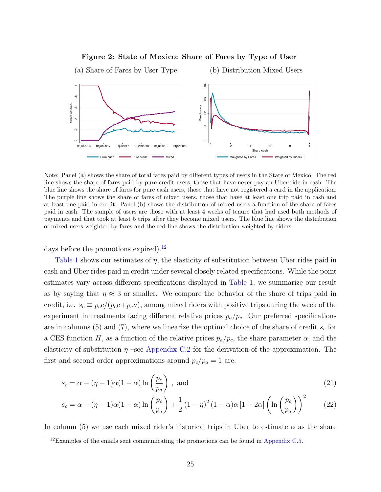

#### <span id="page-26-0"></span>Figure 2: State of Mexico: Share of Fares by Type of User

Note: Panel (a) shows the share of total fares paid by different types of users in the State of Mexico. The red line shows the share of fares paid by pure credit users, those that have never pay an Uber ride in cash. The blue line shows the share of fares for pure cash users, those that have not registered a card in the application. The purple line shows the share of fares of mixed users, those that have at least one trip paid in cash and at least one paid in credit. Panel (b) shows the distribution of mixed users a function of the share of fares paid in cash. The sample of users are those with at least 4 weeks of tenure that had used both methods of payments and that took at least 5 trips after they become mixed users. The blue line shows the distribution of mixed users weighted by fares and the red line shows the distribution weighted by riders.

days before the promotions expired).<sup>[12](#page-26-1)</sup>

[Table 1](#page-28-0) shows our estimates of η, the elasticity of substitution between Uber rides paid in cash and Uber rides paid in credit under several closely related specifications. While the point estimates vary across different specifications displayed in [Table 1,](#page-28-0) we summarize our result as by saying that  $\eta \approx 3$  or smaller. We compare the behavior of the share of trips paid in credit, i.e.  $s_c \equiv p_c c/(p_c c + p_a a)$ , among mixed riders with positive trips during the week of the experiment in treatments facing different relative prices  $p_a/p_c$ . Our preferred specifications are in columns (5) and (7), where we linearize the optimal choice of the share of credit  $s_c$  for a CES function H, as a function of the relative prices  $p_a/p_c$ , the share parameter  $\alpha$ , and the elasticity of substitution  $\eta$  –see [Appendix C.2](#page--1-0) for the derivation of the approximation. The first and second order approximations around  $p_c/p_a = 1$  are:

<span id="page-26-3"></span><span id="page-26-2"></span>
$$
s_c = \alpha - (\eta - 1)\alpha (1 - \alpha) \ln \left(\frac{p_c}{p_a}\right), \text{ and} \qquad (21)
$$

$$
s_c = \alpha - (\eta - 1)\alpha (1 - \alpha) \ln \left(\frac{p_c}{p_a}\right) + \frac{1}{2} (1 - \eta)^2 (1 - \alpha)\alpha [1 - 2\alpha] \left(\ln \left(\frac{p_c}{p_a}\right)\right)^2 \tag{22}
$$

In column (5) we use each mixed rider's historical trips in Uber to estimate  $\alpha$  as the share

<span id="page-26-1"></span> $12$ Examples of the emails sent communicating the promotions can be found in [Appendix C.5.](#page-18-0)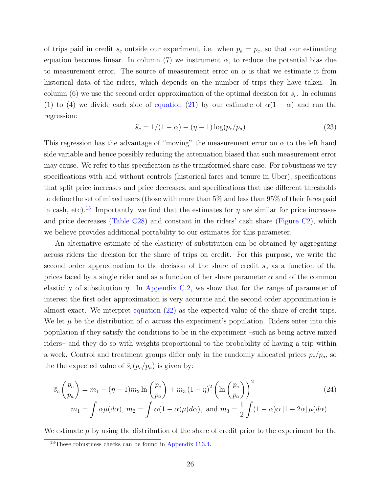of trips paid in credit  $s_c$  outside our experiment, i.e. when  $p_a = p_c$ , so that our estimating equation becomes linear. In column (7) we instrument  $\alpha$ , to reduce the potential bias due to measurement error. The source of measurement error on  $\alpha$  is that we estimate it from historical data of the riders, which depends on the number of trips they have taken. In column (6) we use the second order approximation of the optimal decision for  $s_c$ . In columns (1) to (4) we divide each side of [equation](#page-26-2) [\(21\)](#page-26-2) by our estimate of  $\alpha(1-\alpha)$  and run the regression:

<span id="page-27-1"></span>
$$
\tilde{s}_c = 1/(1 - \alpha) - (\eta - 1)\log(p_c/p_a)
$$
\n(23)

This regression has the advantage of "moving" the measurement error on  $\alpha$  to the left hand side variable and hence possibly reducing the attenuation biased that such measurement error may cause. We refer to this specification as the transformed share case. For robustness we try specifications with and without controls (historical fares and tenure in Uber), specifications that split price increases and price decreases, and specifications that use different thresholds to define the set of mixed users (those with more than 5% and less than 95% of their fares paid in cash, etc).<sup>[13](#page-27-0)</sup> Importantly, we find that the estimates for  $\eta$  are similar for price increases and price decreases [\(Table C28\)](#page--1-0) and constant in the riders' cash share [\(Figure C2\)](#page--1-0), which we believe provides additional portability to our estimates for this parameter.

An alternative estimate of the elasticity of substitution can be obtained by aggregating across riders the decision for the share of trips on credit. For this purpose, we write the second order approximation to the decision of the share of credit  $s_c$  as a function of the prices faced by a single rider and as a function of her share parameter  $\alpha$  and of the common elasticity of substitution  $\eta$ . In [Appendix C.2,](#page--1-0) we show that for the range of parameter of interest the first oder approximation is very accurate and the second order approximation is almost exact. We interpret [equation](#page-26-3) [\(22\)](#page-26-3) as the expected value of the share of credit trips. We let  $\mu$  be the distribution of  $\alpha$  across the experiment's population. Riders enter into this population if they satisfy the conditions to be in the experiment –such as being active mixed riders– and they do so with weights proportional to the probability of having a trip within a week. Control and treatment groups differ only in the randomly allocated prices  $p_c/p_a$ , so the the expected value of  $\bar{s}_c(p_c/p_a)$  is given by:

<span id="page-27-2"></span>
$$
\bar{s}_c \left(\frac{p_c}{p_a}\right) = m_1 - (\eta - 1)m_2 \ln\left(\frac{p_c}{p_a}\right) + m_3 (1 - \eta)^2 \left(\ln\left(\frac{p_c}{p_a}\right)\right)^2
$$
\n
$$
m_1 = \int \alpha \mu(d\alpha), \ m_2 = \int \alpha (1 - \alpha) \mu(d\alpha), \text{ and } m_3 = \frac{1}{2} \int (1 - \alpha) \alpha [1 - 2\alpha] \mu(d\alpha)
$$
\n(24)

We estimate  $\mu$  by using the distribution of the share of credit prior to the experiment for the

<span id="page-27-0"></span><sup>&</sup>lt;sup>13</sup>These robustness checks can be found in [Appendix C.3.4.](#page--1-0)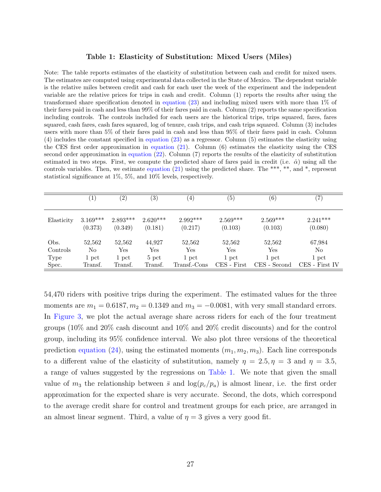#### <span id="page-28-0"></span>Table 1: Elasticity of Substitution: Mixed Users (Miles)

Note: The table reports estimates of the elasticity of substitution between cash and credit for mixed users. The estimates are computed using experimental data collected in the State of Mexico. The dependent variable is the relative miles between credit and cash for each user the week of the experiment and the independent variable are the relative prices for trips in cash and credit. Column (1) reports the results after using the transformed share specification denoted in [equation](#page-27-1) [\(23\)](#page-27-1) and including mixed users with more than 1% of their fares paid in cash and less than 99% of their fares paid in cash. Column (2) reports the same specification including controls. The controls included for each users are the historical trips, trips squared, fares, fares squared, cash fares, cash fares squared, log of tenure, cash trips, and cash trips squared. Column (3) includes users with more than 5% of their fares paid in cash and less than 95% of their fares paid in cash. Column (4) includes the constant specified in [equation](#page-27-1) [\(23\)](#page-27-1) as a regressor. Column (5) estimates the elasticity using the CES first order approximation in [equation](#page-26-2) [\(21\)](#page-26-2). Column (6) estimates the elasticity using the CES second order approximation in [equation](#page-26-3) [\(22\)](#page-26-3). Column (7) reports the results of the elasticity of substitution estimated in two steps. First, we compute the predicted share of fares paid in credit (i.e.  $\hat{\alpha}$ ) using all the controls variables. Then, we estimate [equation](#page-26-2) [\(21\)](#page-26-2) using the predicted share. The \*\*\*, \*\*, and \*, represent statistical significance at 1%, 5%, and 10% levels, respectively.

|            | $\left 1\right\rangle$ | $\left( 2\right)$ | $\left( 3\right)$ | $\left(4\right)$ | $\left( 5\right)$ | $\left( 6\right)$ | $\left( 7\right)$ |
|------------|------------------------|-------------------|-------------------|------------------|-------------------|-------------------|-------------------|
| Elasticity | $3.169***$             | $2.893***$        | $2.620***$        | $2.992***$       | $2.569***$        | $2.569***$        | $2.241***$        |
|            | (0.373)                | (0.349)           | (0.181)           | (0.217)          | (0.103)           | (0.103)           | (0.080)           |
| Obs.       | 52,562                 | 52,562            | 44,927            | 52,562           | 52,562            | 52,562            | 67,984            |
| Controls   | No                     | Yes               | Yes               | Yes              | Yes               | Yes               | No                |
| Type       | 1 pct                  | 1 pct             | $5$ pct           | 1 pct            | 1 pct             | 1 pct             | 1 pct             |
| Spec.      | Transf.                | Transf.           | Transf.           | Transf.-Cons     | CES - First       | CES - Second      | CES - First IV    |

54,470 riders with positive trips during the experiment. The estimated values for the three moments are  $m_1 = 0.6187, m_2 = 0.1349$  and  $m_3 = -0.0081$ , with very small standard errors. In [Figure 3,](#page-29-0) we plot the actual average share across riders for each of the four treatment groups (10% and 20% cash discount and 10% and 20% credit discounts) and for the control group, including its 95% confidence interval. We also plot three versions of the theoretical prediction [equation](#page-27-2) [\(24\)](#page-27-2), using the estimated moments  $(m_1, m_2, m_3)$ . Each line corresponds to a different value of the elasticity of substitution, namely  $\eta = 2.5, \eta = 3$  and  $\eta = 3.5$ , a range of values suggested by the regressions on [Table 1.](#page-28-0) We note that given the small value of  $m_3$  the relationship between  $\bar{s}$  and  $\log(p_c/p_a)$  is almost linear, i.e. the first order approximation for the expected share is very accurate. Second, the dots, which correspond to the average credit share for control and treatment groups for each price, are arranged in an almost linear segment. Third, a value of  $\eta = 3$  gives a very good fit.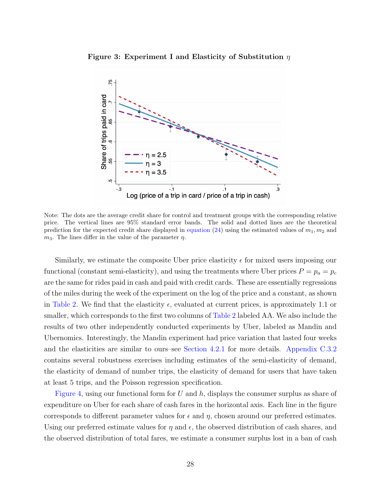<span id="page-29-0"></span>

Figure 3: Experiment I and Elasticity of Substitution  $\eta$ 

Note: The dots are the average credit share for control and treatment groups with the corresponding relative price. The vertical lines are 95% standard error bands. The solid and dotted lines are the theoretical prediction for the expected credit share displayed in [equation](#page-27-2) [\(24\)](#page-27-2) using the estimated values of  $m_1, m_2$  and  $m_3$ . The lines differ in the value of the parameter  $\eta$ .

Similarly, we estimate the composite Uber price elasticity  $\epsilon$  for mixed users imposing our functional (constant semi-elasticity), and using the treatments where Uber prices  $P = p_a = p_c$ are the same for rides paid in cash and paid with credit cards. These are essentially regressions of the miles during the week of the experiment on the log of the price and a constant, as shown in [Table 2.](#page-30-0) We find that the elasticity  $\epsilon$ , evaluated at current prices, is approximately 1.1 or smaller, which corresponds to the first two columns of [Table 2](#page-30-0) labeled AA. We also include the results of two other independently conducted experiments by Uber, labeled as Mandin and Ubernomics. Interestingly, the Mandin experiment had price variation that lasted four weeks and the elasticities are similar to ours–see [Section 4.2.1](#page-32-0) for more details. [Appendix C.3.2](#page--1-0) contains several robustness exercises including estimates of the semi-elasticity of demand, the elasticity of demand of number trips, the elasticity of demand for users that have taken at least 5 trips, and the Poisson regression specification.

[Figure 4,](#page-31-0) using our functional form for U and  $h$ , displays the consumer surplus as share of expenditure on Uber for each share of cash fares in the horizontal axis. Each line in the figure corresponds to different parameter values for  $\epsilon$  and  $\eta$ , chosen around our preferred estimates. Using our preferred estimate values for  $\eta$  and  $\epsilon$ , the observed distribution of cash shares, and the observed distribution of total fares, we estimate a consumer surplus lost in a ban of cash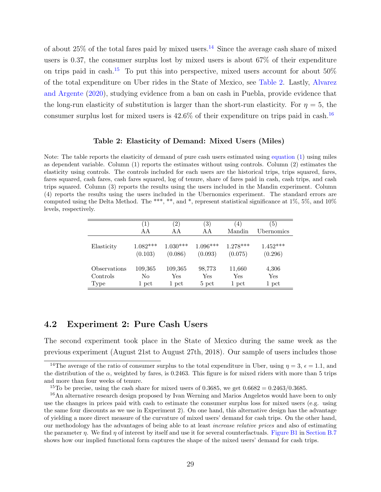of about  $25\%$  of the total fares paid by mixed users.<sup>[14](#page-30-1)</sup> Since the average cash share of mixed users is 0.37, the consumer surplus lost by mixed users is about 67% of their expenditure on trips paid in cash.<sup>[15](#page-30-2)</sup> To put this into perspective, mixed users account for about  $50\%$ of the total expenditure on Uber rides in the State of Mexico, see [Table 2.](#page-26-0) Lastly, [Alvarez](#page-45-3) [and Argente](#page-45-3) [\(2020\)](#page-45-3), studying evidence from a ban on cash in Puebla, provide evidence that the long-run elasticity of substitution is larger than the short-run elasticity. For  $\eta = 5$ , the consumer surplus lost for mixed users is  $42.6\%$  of their expenditure on trips paid in cash.<sup>[16](#page-30-3)</sup>

#### <span id="page-30-0"></span>Table 2: Elasticity of Demand: Mixed Users (Miles)

Note: The table reports the elasticity of demand of pure cash users estimated using [equation](#page--1-0) [\(1\)](#page--1-0) using miles as dependent variable. Column (1) reports the estimates without using controls. Column (2) estimates the elasticity using controls. The controls included for each users are the historical trips, trips squared, fares, fares squared, cash fares, cash fares squared, log of tenure, share of fares paid in cash, cash trips, and cash trips squared. Column (3) reports the results using the users included in the Mandin experiment. Column (4) reports the results using the users included in the Ubernomics experiment. The standard errors are computed using the Delta Method. The \*\*\*, \*\*, and \*, represent statistical significance at 1%, 5%, and 10% levels, respectively.

|                  | $\left(1\right)$      | $^{\prime}2)$         | $\left( 3\right)$     | (4)                   | (5)                   |
|------------------|-----------------------|-----------------------|-----------------------|-----------------------|-----------------------|
|                  | AА                    | A A                   | ΑA                    | Mandin                | Ubernomics            |
| Elasticity       | $1.082***$<br>(0.103) | $1.030***$<br>(0.086) | $1.096***$<br>(0.093) | $1.278***$<br>(0.075) | $1.452***$<br>(0.296) |
| Observations     | 109,365               | 109,365               | 98,773                | 11,660                | 4,306                 |
| Controls<br>Type | No<br>1 pct           | Yes<br>1 pct          | Yes<br>$5$ pct        | Yes<br>1 pct          | Yes<br>1 pct          |

## 4.2 Experiment 2: Pure Cash Users

The second experiment took place in the State of Mexico during the same week as the previous experiment (August 21st to August 27th, 2018). Our sample of users includes those

<span id="page-30-1"></span><sup>&</sup>lt;sup>14</sup>The average of the ratio of consumer surplus to the total expenditure in Uber, using  $\eta = 3$ ,  $\epsilon = 1.1$ , and the distribution of the  $\alpha$ , weighted by fares, is 0.2463. This figure is for mixed riders with more than 5 trips and more than four weeks of tenure.

<span id="page-30-3"></span><span id="page-30-2"></span><sup>&</sup>lt;sup>15</sup>To be precise, using the cash share for mixed users of 0.3685, we get  $0.6682 = 0.2463/0.3685$ .

<sup>16</sup>An alternative research design proposed by Ivan Werning and Marios Angeletos would have been to only use the changes in prices paid with cash to estimate the consumer surplus loss for mixed users (e.g. using the same four discounts as we use in Experiment 2). On one hand, this alternative design has the advantage of yielding a more direct measure of the curvature of mixed users' demand for cash trips. On the other hand, our methodology has the advantages of being able to at least increase relative prices and also of estimating the parameter  $\eta$ . We find  $\eta$  of interest by itself and use it for several counterfactuals. [Figure B1](#page--1-0) in [Section B.7](#page--1-0) shows how our implied functional form captures the shape of the mixed users' demand for cash trips.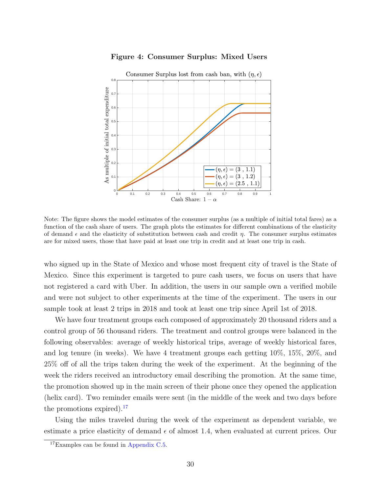

#### <span id="page-31-0"></span>Figure 4: Consumer Surplus: Mixed Users

Note: The figure shows the model estimates of the consumer surplus (as a multiple of initial total fares) as a function of the cash share of users. The graph plots the estimates for different combinations of the elasticity of demand  $\epsilon$  and the elasticity of substitution between cash and credit  $\eta$ . The consumer surplus estimates are for mixed users, those that have paid at least one trip in credit and at least one trip in cash.

who signed up in the State of Mexico and whose most frequent city of travel is the State of Mexico. Since this experiment is targeted to pure cash users, we focus on users that have not registered a card with Uber. In addition, the users in our sample own a verified mobile and were not subject to other experiments at the time of the experiment. The users in our sample took at least 2 trips in 2018 and took at least one trip since April 1st of 2018.

We have four treatment groups each composed of approximately 20 thousand riders and a control group of 56 thousand riders. The treatment and control groups were balanced in the following observables: average of weekly historical trips, average of weekly historical fares, and log tenure (in weeks). We have 4 treatment groups each getting 10%, 15%, 20%, and 25% off of all the trips taken during the week of the experiment. At the beginning of the week the riders received an introductory email describing the promotion. At the same time, the promotion showed up in the main screen of their phone once they opened the application (helix card). Two reminder emails were sent (in the middle of the week and two days before the promotions expired). $^{17}$  $^{17}$  $^{17}$ 

Using the miles traveled during the week of the experiment as dependent variable, we estimate a price elasticity of demand  $\epsilon$  of almost 1.4, when evaluated at current prices. Our

<span id="page-31-1"></span><sup>17</sup>Examples can be found in [Appendix C.5.](#page-19-1)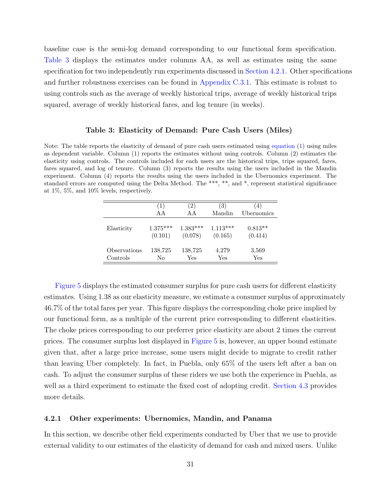baseline case is the semi-log demand corresponding to our functional form specification. [Table 3](#page-32-1) displays the estimates under columns AA, as well as estimates using the same specification for two independently run experiments discussed in [Section 4.2.1.](#page-32-0) Other specifications and further robustness exercises can be found in [Appendix C.3.1.](#page--1-0) This estimate is robust to using controls such as the average of weekly historical trips, average of weekly historical trips squared, average of weekly historical fares, and log tenure (in weeks).

#### <span id="page-32-1"></span>Table 3: Elasticity of Demand: Pure Cash Users (Miles)

Note: The table reports the elasticity of demand of pure cash users estimated using [equation](#page--1-0) [\(1\)](#page--1-0) using miles as dependent variable. Column (1) reports the estimates without using controls. Column (2) estimates the elasticity using controls. The controls included for each users are the historical trips, trips squared, fares, fares squared, and log of tenure. Column (3) reports the results using the users included in the Mandin experiment. Column (4) reports the results using the users included in the Ubernomics experiment. The standard errors are computed using the Delta Method. The \*\*\*, \*\*, and \*, represent statistical significance at 1%, 5%, and 10% levels, respectively.

|              | $\left(1\right)$ | $\left( 2\right)$ | (3)        | (4)        |
|--------------|------------------|-------------------|------------|------------|
|              | A A              | A A               | Mandin     | Ubernomics |
| Elasticity   | $1.375***$       | $1.383***$        | $1.113***$ | $0.813**$  |
|              | (0.101)          | (0.078)           | (0.165)    | (0.414)    |
| Observations | 138,725          | 138,725           | 4,279      | 3,569      |
| Controls     | No               | Yes               | Yes        | Yes        |

[Figure 5](#page-33-0) displays the estimated consumer surplus for pure cash users for different elasticity estimates. Using 1.38 as our elasticity measure, we estimate a consumer surplus of approximately 46.7% of the total fares per year. This figure displays the corresponding choke price implied by our functional form, as a multiple of the current price corresponding to different elasticities. The choke prices corresponding to our preferrer price elasticity are about 2 times the current prices. The consumer surplus lost displayed in [Figure 5](#page-33-0) is, however, an upper bound estimate given that, after a large price increase, some users might decide to migrate to credit rather than leaving Uber completely. In fact, in Puebla, only 65% of the users left after a ban on cash. To adjust the consumer surplus of these riders we use both the experience in Puebla, as well as a third experiment to estimate the fixed cost of adopting credit. [Section 4.3](#page-40-0) provides more details.

#### <span id="page-32-0"></span>4.2.1 Other experiments: Ubernomics, Mandin, and Panama

In this section, we describe other field experiments conducted by Uber that we use to provide external validity to our estimates of the elasticity of demand for cash and mixed users. Unlike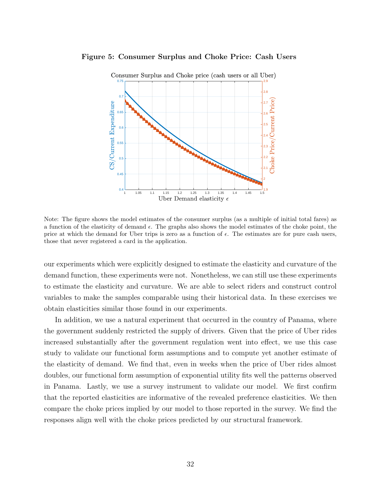#### Figure 5: Consumer Surplus and Choke Price: Cash Users

<span id="page-33-0"></span>

Note: The figure shows the model estimates of the consumer surplus (as a multiple of initial total fares) as a function of the elasticity of demand  $\epsilon$ . The graphs also shows the model estimates of the choke point, the price at which the demand for Uber trips is zero as a function of  $\epsilon$ . The estimates are for pure cash users, those that never registered a card in the application.

our experiments which were explicitly designed to estimate the elasticity and curvature of the demand function, these experiments were not. Nonetheless, we can still use these experiments to estimate the elasticity and curvature. We are able to select riders and construct control variables to make the samples comparable using their historical data. In these exercises we obtain elasticities similar those found in our experiments.

In addition, we use a natural experiment that occurred in the country of Panama, where the government suddenly restricted the supply of drivers. Given that the price of Uber rides increased substantially after the government regulation went into effect, we use this case study to validate our functional form assumptions and to compute yet another estimate of the elasticity of demand. We find that, even in weeks when the price of Uber rides almost doubles, our functional form assumption of exponential utility fits well the patterns observed in Panama. Lastly, we use a survey instrument to validate our model. We first confirm that the reported elasticities are informative of the revealed preference elasticities. We then compare the choke prices implied by our model to those reported in the survey. We find the responses align well with the choke prices predicted by our structural framework.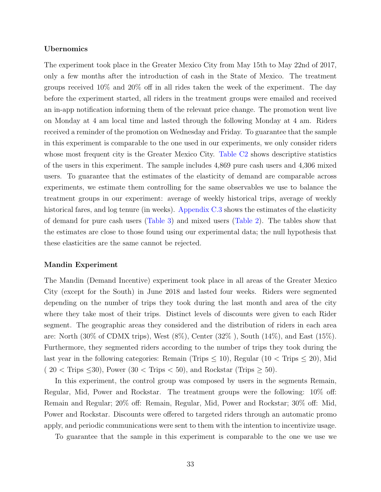#### Ubernomics

The experiment took place in the Greater Mexico City from May 15th to May 22nd of 2017, only a few months after the introduction of cash in the State of Mexico. The treatment groups received 10% and 20% off in all rides taken the week of the experiment. The day before the experiment started, all riders in the treatment groups were emailed and received an in-app notification informing them of the relevant price change. The promotion went live on Monday at 4 am local time and lasted through the following Monday at 4 am. Riders received a reminder of the promotion on Wednesday and Friday. To guarantee that the sample in this experiment is comparable to the one used in our experiments, we only consider riders whose most frequent city is the Greater Mexico City. [Table C2](#page--1-0) shows descriptive statistics of the users in this experiment. The sample includes 4,869 pure cash users and 4,306 mixed users. To guarantee that the estimates of the elasticity of demand are comparable across experiments, we estimate them controlling for the same observables we use to balance the treatment groups in our experiment: average of weekly historical trips, average of weekly historical fares, and log tenure (in weeks). [Appendix C.3](#page--1-0) shows the estimates of the elasticity of demand for pure cash users [\(Table 3\)](#page-32-1) and mixed users [\(Table 2\)](#page-30-0). The tables show that the estimates are close to those found using our experimental data; the null hypothesis that these elasticities are the same cannot be rejected.

#### Mandin Experiment

The Mandin (Demand Incentive) experiment took place in all areas of the Greater Mexico City (except for the South) in June 2018 and lasted four weeks. Riders were segmented depending on the number of trips they took during the last month and area of the city where they take most of their trips. Distinct levels of discounts were given to each Rider segment. The geographic areas they considered and the distribution of riders in each area are: North (30% of CDMX trips), West (8%), Center (32% ), South (14%), and East (15%). Furthermore, they segmented riders according to the number of trips they took during the last year in the following categories: Remain (Trips  $\leq 10$ ), Regular (10  $\lt$  Trips  $\leq 20$ ), Mid  $(20 <$  Trips  $\leq 30$ , Power  $(30 <$  Trips  $< 50$ , and Rockstar (Trips  $\geq 50$ ).

In this experiment, the control group was composed by users in the segments Remain, Regular, Mid, Power and Rockstar. The treatment groups were the following: 10% off: Remain and Regular; 20% off: Remain, Regular, Mid, Power and Rockstar; 30% off: Mid, Power and Rockstar. Discounts were offered to targeted riders through an automatic promo apply, and periodic communications were sent to them with the intention to incentivize usage.

To guarantee that the sample in this experiment is comparable to the one we use we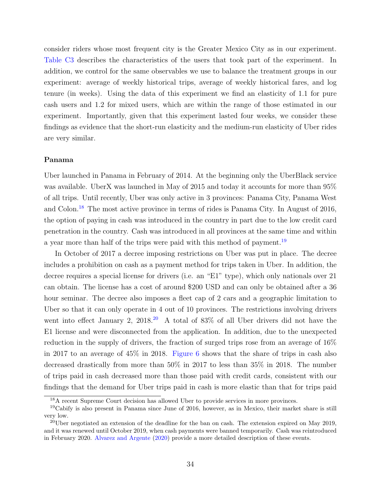consider riders whose most frequent city is the Greater Mexico City as in our experiment. [Table C3](#page--1-0) describes the characteristics of the users that took part of the experiment. In addition, we control for the same observables we use to balance the treatment groups in our experiment: average of weekly historical trips, average of weekly historical fares, and log tenure (in weeks). Using the data of this experiment we find an elasticity of 1.1 for pure cash users and 1.2 for mixed users, which are within the range of those estimated in our experiment. Importantly, given that this experiment lasted four weeks, we consider these findings as evidence that the short-run elasticity and the medium-run elasticity of Uber rides are very similar.

#### Panama

Uber launched in Panama in February of 2014. At the beginning only the UberBlack service was available. UberX was launched in May of 2015 and today it accounts for more than 95% of all trips. Until recently, Uber was only active in 3 provinces: Panama City, Panama West and Colon.[18](#page-35-0) The most active province in terms of rides is Panama City. In August of 2016, the option of paying in cash was introduced in the country in part due to the low credit card penetration in the country. Cash was introduced in all provinces at the same time and within a year more than half of the trips were paid with this method of payment.<sup>[19](#page-35-1)</sup>

In October of 2017 a decree imposing restrictions on Uber was put in place. The decree includes a prohibition on cash as a payment method for trips taken in Uber. In addition, the decree requires a special license for drivers (i.e. an "E1" type), which only nationals over 21 can obtain. The license has a cost of around \$200 USD and can only be obtained after a 36 hour seminar. The decree also imposes a fleet cap of 2 cars and a geographic limitation to Uber so that it can only operate in 4 out of 10 provinces. The restrictions involving drivers went into effect January 2,  $2018<sup>20</sup>$  $2018<sup>20</sup>$  A total of 83% of all Uber drivers did not have the E1 license and were disconnected from the application. In addition, due to the unexpected reduction in the supply of drivers, the fraction of surged trips rose from an average of 16% in 2017 to an average of 45% in 2018. [Figure 6](#page-36-0) shows that the share of trips in cash also decreased drastically from more than 50% in 2017 to less than 35% in 2018. The number of trips paid in cash decreased more than those paid with credit cards, consistent with our findings that the demand for Uber trips paid in cash is more elastic than that for trips paid

<span id="page-35-1"></span><span id="page-35-0"></span><sup>18</sup>A recent Supreme Court decision has allowed Uber to provide services in more provinces.

 $19Cabify$  is also present in Panama since June of 2016, however, as in Mexico, their market share is still very low.

<span id="page-35-2"></span> $^{20}$ Uber negotiated an extension of the deadline for the ban on cash. The extension expired on May 2019, and it was renewed until October 2019, when cash payments were banned temporarily. Cash was reintroduced in February 2020. [Alvarez and Argente](#page-45-3) [\(2020\)](#page-45-3) provide a more detailed description of these events.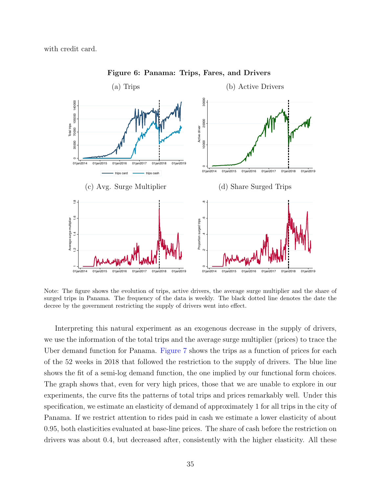with credit card.



<span id="page-36-0"></span>Figure 6: Panama: Trips, Fares, and Drivers

Note: The figure shows the evolution of trips, active drivers, the average surge multiplier and the share of surged trips in Panama. The frequency of the data is weekly. The black dotted line denotes the date the decree by the government restricting the supply of drivers went into effect.

Interpreting this natural experiment as an exogenous decrease in the supply of drivers, we use the information of the total trips and the average surge multiplier (prices) to trace the Uber demand function for Panama. [Figure 7](#page-37-0) shows the trips as a function of prices for each of the 52 weeks in 2018 that followed the restriction to the supply of drivers. The blue line shows the fit of a semi-log demand function, the one implied by our functional form choices. The graph shows that, even for very high prices, those that we are unable to explore in our experiments, the curve fits the patterns of total trips and prices remarkably well. Under this specification, we estimate an elasticity of demand of approximately 1 for all trips in the city of Panama. If we restrict attention to rides paid in cash we estimate a lower elasticity of about 0.95, both elasticities evaluated at base-line prices. The share of cash before the restriction on drivers was about 0.4, but decreased after, consistently with the higher elasticity. All these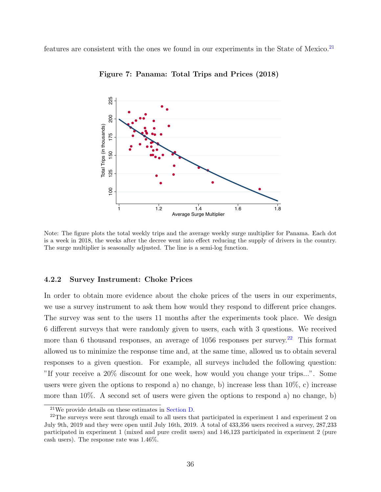features are consistent with the ones we found in our experiments in the State of Mexico.<sup>[21](#page-37-1)</sup>



<span id="page-37-0"></span>Figure 7: Panama: Total Trips and Prices (2018)

Note: The figure plots the total weekly trips and the average weekly surge multiplier for Panama. Each dot is a week in 2018, the weeks after the decree went into effect reducing the supply of drivers in the country. The surge multiplier is seasonally adjusted. The line is a semi-log function.

#### <span id="page-37-3"></span>4.2.2 Survey Instrument: Choke Prices

In order to obtain more evidence about the choke prices of the users in our experiments, we use a survey instrument to ask them how would they respond to different price changes. The survey was sent to the users 11 months after the experiments took place. We design 6 different surveys that were randomly given to users, each with 3 questions. We received more than 6 thousand responses, an average of  $1056$  responses per survey.<sup>[22](#page-37-2)</sup> This format allowed us to minimize the response time and, at the same time, allowed us to obtain several responses to a given question. For example, all surveys included the following question: "If your receive a 20% discount for one week, how would you change your trips...". Some users were given the options to respond a) no change, b) increase less than 10%, c) increase more than 10%. A second set of users were given the options to respond a) no change, b)

<span id="page-37-2"></span><span id="page-37-1"></span><sup>21</sup>We provide details on these estimates in [Section D.](#page--1-0)

<sup>&</sup>lt;sup>22</sup>The surveys were sent through email to all users that participated in experiment 1 and experiment 2 on July 9th, 2019 and they were open until July 16th, 2019. A total of 433,356 users received a survey, 287,233 participated in experiment 1 (mixed and pure credit users) and 146,123 participated in experiment 2 (pure cash users). The response rate was 1.46%.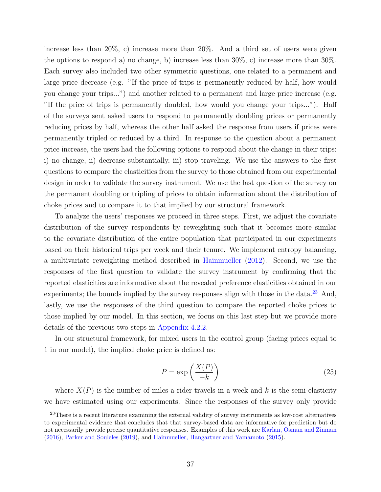increase less than 20%, c) increase more than 20%. And a third set of users were given the options to respond a) no change, b) increase less than  $30\%$ , c) increase more than  $30\%$ . Each survey also included two other symmetric questions, one related to a permanent and large price decrease (e.g. "If the price of trips is permanently reduced by half, how would you change your trips...") and another related to a permanent and large price increase (e.g. "If the price of trips is permanently doubled, how would you change your trips..."). Half of the surveys sent asked users to respond to permanently doubling prices or permanently reducing prices by half, whereas the other half asked the response from users if prices were permanently tripled or reduced by a third. In response to the question about a permanent price increase, the users had the following options to respond about the change in their trips: i) no change, ii) decrease substantially, iii) stop traveling. We use the answers to the first questions to compare the elasticities from the survey to those obtained from our experimental design in order to validate the survey instrument. We use the last question of the survey on the permanent doubling or tripling of prices to obtain information about the distribution of choke prices and to compare it to that implied by our structural framework.

To analyze the users' responses we proceed in three steps. First, we adjust the covariate distribution of the survey respondents by reweighting such that it becomes more similar to the covariate distribution of the entire population that participated in our experiments based on their historical trips per week and their tenure. We implement entropy balancing, a multivariate reweighting method described in [Hainmueller](#page-45-9) [\(2012\)](#page-45-9). Second, we use the responses of the first question to validate the survey instrument by confirming that the reported elasticities are informative about the revealed preference elasticities obtained in our experiments; the bounds implied by the survey responses align with those in the data.<sup>[23](#page-38-0)</sup> And, lastly, we use the responses of the third question to compare the reported choke prices to those implied by our model. In this section, we focus on this last step but we provide more details of the previous two steps in [Appendix 4.2.2.](#page-37-3)

In our structural framework, for mixed users in the control group (facing prices equal to 1 in our model), the implied choke price is defined as:

<span id="page-38-1"></span>
$$
\bar{P} = \exp\left(\frac{X(P)}{-k}\right) \tag{25}
$$

where  $X(P)$  is the number of miles a rider travels in a week and k is the semi-elasticity we have estimated using our experiments. Since the responses of the survey only provide

<span id="page-38-0"></span><sup>&</sup>lt;sup>23</sup>There is a recent literature examining the external validity of survey instruments as low-cost alternatives to experimental evidence that concludes that that survey-based data are informative for prediction but do not necessarily provide precise quantitative responses. Examples of this work are [Karlan, Osman and Zinman](#page-45-10) [\(2016\)](#page-45-10), [Parker and Souleles](#page-46-12) [\(2019\)](#page-46-12), and [Hainmueller, Hangartner and Yamamoto](#page-45-11) [\(2015\)](#page-45-11).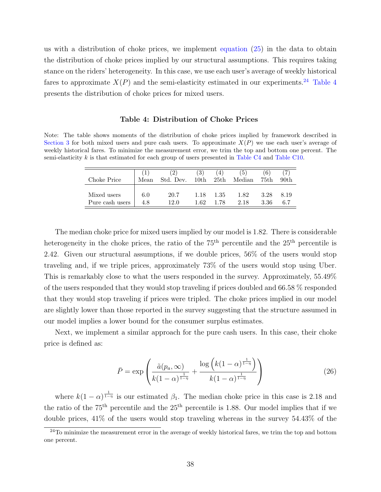us with a distribution of choke prices, we implement [equation](#page-38-1) [\(25\)](#page-38-1) in the data to obtain the distribution of choke prices implied by our structural assumptions. This requires taking stance on the riders' heterogeneity. In this case, we use each user's average of weekly historical fares to approximate  $X(P)$  and the semi-elasticity estimated in our experiments.<sup>[24](#page-39-0)</sup> [Table 4](#page-39-1) presents the distribution of choke prices for mixed users.

#### <span id="page-39-1"></span>Table 4: Distribution of Choke Prices

Note: The table shows moments of the distribution of choke prices implied by framework described in [Section 3](#page-12-0) for both mixed users and pure cash users. To approximate  $X(P)$  we use each user's average of weekly historical fares. To minimize the measurement error, we trim the top and bottom one percent. The semi-elasticity k is that estimated for each group of users presented in [Table C4](#page--1-0) and [Table C10.](#page--1-0)

| Choke Price     | Mean | Std. Dev. | 3<br>10th | 25th | $\Theta$<br>Median | 6<br>75th | 90 <sub>th</sub> |
|-----------------|------|-----------|-----------|------|--------------------|-----------|------------------|
| Mixed users     | 6.0  | 20.7      | 1.18      | 1.35 | 1.82               | 3.28      | 8.19             |
| Pure cash users | 4.8  | 12.0      | 1.62      | 1.78 | 2.18               | 3.36      | 6.7              |

The median choke price for mixed users implied by our model is 1.82. There is considerable heterogeneity in the choke prices, the ratio of the  $75<sup>th</sup>$  percentile and the  $25<sup>th</sup>$  percentile is 2.42. Given our structural assumptions, if we double prices, 56% of the users would stop traveling and, if we triple prices, approximately 73% of the users would stop using Uber. This is remarkably close to what the users responded in the survey. Approximately, 55.49% of the users responded that they would stop traveling if prices doubled and 66.58 % responded that they would stop traveling if prices were tripled. The choke prices implied in our model are slightly lower than those reported in the survey suggesting that the structure assumed in our model implies a lower bound for the consumer surplus estimates.

Next, we implement a similar approach for the pure cash users. In this case, their choke price is defined as:

$$
\bar{P} = \exp\left(\frac{\tilde{a}(p_a, \infty)}{k(1-\alpha)^{\frac{1}{1-\eta}}} + \frac{\log\left(k(1-\alpha)^{\frac{1}{1-\eta}}\right)}{k(1-\alpha)^{\frac{1}{1-\eta}}}\right)
$$
(26)

where  $k(1-\alpha)^{\frac{1}{1-\eta}}$  is our estimated  $\beta_1$ . The median choke price in this case is 2.18 and the ratio of the  $75<sup>th</sup>$  percentile and the  $25<sup>th</sup>$  percentile is 1.88. Our model implies that if we double prices, 41% of the users would stop traveling whereas in the survey 54.43% of the

<span id="page-39-0"></span> $24$ To minimize the measurement error in the average of weekly historical fares, we trim the top and bottom one percent.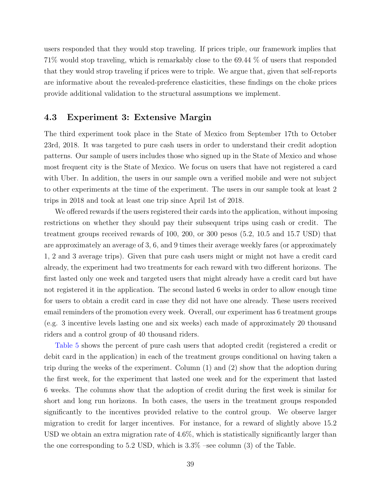users responded that they would stop traveling. If prices triple, our framework implies that 71% would stop traveling, which is remarkably close to the 69.44 % of users that responded that they would strop traveling if prices were to triple. We argue that, given that self-reports are informative about the revealed-preference elasticities, these findings on the choke prices provide additional validation to the structural assumptions we implement.

## <span id="page-40-0"></span>4.3 Experiment 3: Extensive Margin

The third experiment took place in the State of Mexico from September 17th to October 23rd, 2018. It was targeted to pure cash users in order to understand their credit adoption patterns. Our sample of users includes those who signed up in the State of Mexico and whose most frequent city is the State of Mexico. We focus on users that have not registered a card with Uber. In addition, the users in our sample own a verified mobile and were not subject to other experiments at the time of the experiment. The users in our sample took at least 2 trips in 2018 and took at least one trip since April 1st of 2018.

We offered rewards if the users registered their cards into the application, without imposing restrictions on whether they should pay their subsequent trips using cash or credit. The treatment groups received rewards of 100, 200, or 300 pesos (5.2, 10.5 and 15.7 USD) that are approximately an average of 3, 6, and 9 times their average weekly fares (or approximately 1, 2 and 3 average trips). Given that pure cash users might or might not have a credit card already, the experiment had two treatments for each reward with two different horizons. The first lasted only one week and targeted users that might already have a credit card but have not registered it in the application. The second lasted 6 weeks in order to allow enough time for users to obtain a credit card in case they did not have one already. These users received email reminders of the promotion every week. Overall, our experiment has 6 treatment groups (e.g. 3 incentive levels lasting one and six weeks) each made of approximately 20 thousand riders and a control group of 40 thousand riders.

[Table 5](#page-41-0) shows the percent of pure cash users that adopted credit (registered a credit or debit card in the application) in each of the treatment groups conditional on having taken a trip during the weeks of the experiment. Column (1) and (2) show that the adoption during the first week, for the experiment that lasted one week and for the experiment that lasted 6 weeks. The columns show that the adoption of credit during the first week is similar for short and long run horizons. In both cases, the users in the treatment groups responded significantly to the incentives provided relative to the control group. We observe larger migration to credit for larger incentives. For instance, for a reward of slightly above 15.2 USD we obtain an extra migration rate of 4.6%, which is statistically significantly larger than the one corresponding to 5.2 USD, which is  $3.3\%$  –see column (3) of the Table.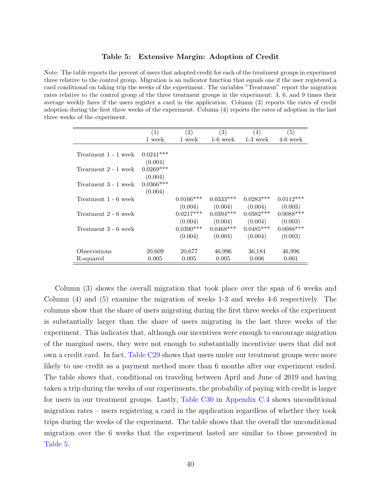#### <span id="page-41-0"></span>Table 5: Extensive Margin: Adoption of Credit

Note: The table reports the percent of users that adopted credit for each of the treatment groups in experiment three relative to the control group. Migration is an indicator function that equals one if the user registered a card conditional on taking trip the weeks of the experiment. The variables "Treatment" report the migration rates relative to the control group of the three treatment groups in the experiment: 3, 6, and 9 times their average weekly fares if the users register a card in the application. Column (3) reports the rates of credit adoption during the first three weeks of the experiment. Column (4) reports the rates of adoption in the last three weeks of the experiment.

|             |                                                                   |               |                              | (5)                          |
|-------------|-------------------------------------------------------------------|---------------|------------------------------|------------------------------|
|             |                                                                   |               |                              |                              |
|             |                                                                   |               |                              | $4-6$ week                   |
|             |                                                                   |               |                              |                              |
|             |                                                                   |               |                              |                              |
|             |                                                                   |               |                              |                              |
|             |                                                                   |               |                              |                              |
|             |                                                                   |               |                              |                              |
| (0.004)     |                                                                   |               |                              |                              |
| $0.0366***$ |                                                                   |               |                              |                              |
|             |                                                                   |               |                              |                              |
|             | $0.0166***$                                                       | $0.0333***$   | $0.0283***$                  | $0.0112***$                  |
|             | (0.004)                                                           |               |                              | (0.003)                      |
|             | $0.0217***$                                                       | $0.0394***$   | $0.0382***$                  | $0.0088***$                  |
|             | (0.004)                                                           | (0.004)       | (0.004)                      | (0.003)                      |
|             | $0.0390***$                                                       | $0.0468***$   | $0.0485***$                  | $0.0088***$                  |
|             | (0.004)                                                           | (0.004)       | (0.004)                      | (0.003)                      |
|             |                                                                   |               |                              |                              |
| 20,609      | 20,677                                                            | 46,996        | 36,184                       | 46,996                       |
| 0.005       | 0.005                                                             | 0.005         | 0.006                        | 0.001                        |
|             | (1)<br>1 week<br>$0.0241***$<br>(0.004)<br>$0.0269***$<br>(0.004) | (2)<br>1 week | (3)<br>$1-6$ week<br>(0.004) | (4)<br>$1-3$ week<br>(0.004) |

Column (3) shows the overall migration that took place over the span of 6 weeks and Column (4) and (5) examine the migration of weeks 1-3 and weeks 4-6 respectively. The columns show that the share of users migrating during the first three weeks of the experiment is substantially larger than the share of users migrating in the last three weeks of the experiment. This indicates that, although our incentives were enough to encourage migration of the marginal users, they were not enough to substantially incentivize users that did not own a credit card. In fact, [Table C29](#page--1-0) shows that users under our treatment groups were more likely to use credit as a payment method more than 6 months after our experiment ended. The table shows that, conditional on traveling between April and June of 2019 and having taken a trip during the weeks of our experiments, the probabiliy of paying with credit is larger for users in our treatment groups. Lastly, [Table C30](#page--1-0) in [Appendix C.4](#page--1-0) shows unconditional migration rates – users registering a card in the application regardless of whether they took trips during the weeks of the experiment. The table shows that the overall the unconditional migration over the 6 weeks that the experiment lasted are similar to those presented in [Table 5.](#page-41-0)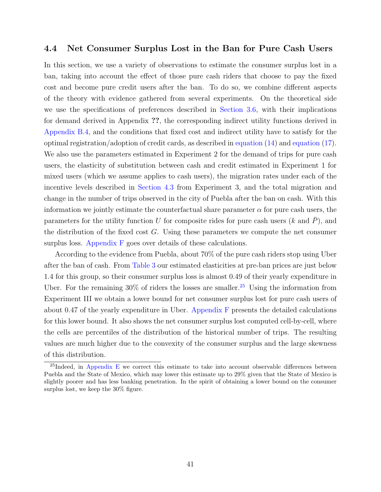## 4.4 Net Consumer Surplus Lost in the Ban for Pure Cash Users

In this section, we use a variety of observations to estimate the consumer surplus lost in a ban, taking into account the effect of those pure cash riders that choose to pay the fixed cost and become pure credit users after the ban. To do so, we combine different aspects of the theory with evidence gathered from several experiments. On the theoretical side we use the specifications of preferences described in [Section 3.6,](#page-22-0) with their implications for demand derived in Appendix ??, the corresponding indirect utility functions derived in [Appendix B.4,](#page--1-0) and the conditions that fixed cost and indirect utility have to satisfy for the optimal registration/adoption of credit cards, as described in [equation](#page-20-1) [\(14\)](#page-20-1) and [equation](#page-21-1) [\(17\)](#page-21-1). We also use the parameters estimated in Experiment 2 for the demand of trips for pure cash users, the elasticity of substitution between cash and credit estimated in Experiment 1 for mixed users (which we assume applies to cash users), the migration rates under each of the incentive levels described in [Section 4.3](#page-40-0) from Experiment 3, and the total migration and change in the number of trips observed in the city of Puebla after the ban on cash. With this information we jointly estimate the counterfactual share parameter  $\alpha$  for pure cash users, the parameters for the utility function U for composite rides for pure cash users  $(k \text{ and } P)$ , and the distribution of the fixed cost  $G$ . Using these parameters we compute the net consumer surplus loss. Appendix  $F$  goes over details of these calculations.

According to the evidence from Puebla, about 70% of the pure cash riders stop using Uber after the ban of cash. From [Table 3](#page-32-1) our estimated elasticities at pre-ban prices are just below 1.4 for this group, so their consumer surplus loss is almost 0.49 of their yearly expenditure in Uber. For the remaining  $30\%$  of riders the losses are smaller.<sup>[25](#page-42-0)</sup> Using the information from Experiment III we obtain a lower bound for net consumer surplus lost for pure cash users of about 0.47 of the yearly expenditure in Uber. [Appendix F](#page--1-0) presents the detailed calculations for this lower bound. It also shows the net consumer surplus lost computed cell-by-cell, where the cells are percentiles of the distribution of the historical number of trips. The resulting values are much higher due to the convexity of the consumer surplus and the large skewness of this distribution.

<span id="page-42-0"></span> $^{25}$ Indeed, in [Appendix E](#page--1-0) we correct this estimate to take into account observable differences between Puebla and the State of Mexico, which may lower this estimate up to 29% given that the State of Mexico is slightly poorer and has less banking penetration. In the spirit of obtaining a lower bound on the consumer surplus lost, we keep the 30% figure.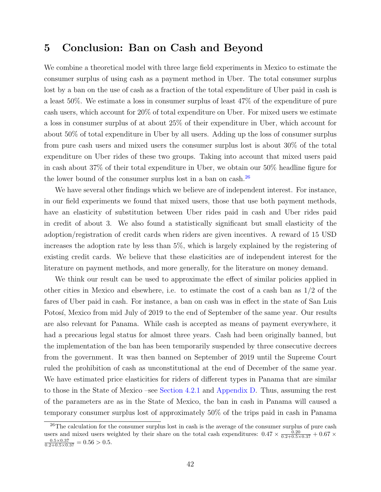# 5 Conclusion: Ban on Cash and Beyond

We combine a theoretical model with three large field experiments in Mexico to estimate the consumer surplus of using cash as a payment method in Uber. The total consumer surplus lost by a ban on the use of cash as a fraction of the total expenditure of Uber paid in cash is a least 50%. We estimate a loss in consumer surplus of least 47% of the expenditure of pure cash users, which account for 20% of total expenditure on Uber. For mixed users we estimate a loss in consumer surplus of at about 25% of their expenditure in Uber, which account for about 50% of total expenditure in Uber by all users. Adding up the loss of consumer surplus from pure cash users and mixed users the consumer surplus lost is about 30% of the total expenditure on Uber rides of these two groups. Taking into account that mixed users paid in cash about 37% of their total expenditure in Uber, we obtain our 50% headline figure for the lower bound of the consumer surplus lost in a ban on cash.<sup>[26](#page-43-0)</sup>

We have several other findings which we believe are of independent interest. For instance, in our field experiments we found that mixed users, those that use both payment methods, have an elasticity of substitution between Uber rides paid in cash and Uber rides paid in credit of about 3. We also found a statistically significant but small elasticity of the adoption/registration of credit cards when riders are given incentives. A reward of 15 USD increases the adoption rate by less than 5%, which is largely explained by the registering of existing credit cards. We believe that these elasticities are of independent interest for the literature on payment methods, and more generally, for the literature on money demand.

We think our result can be used to approximate the effect of similar policies applied in other cities in Mexico and elsewhere, i.e. to estimate the cost of a cash ban as 1/2 of the fares of Uber paid in cash. For instance, a ban on cash was in effect in the state of San Luis Potosí, Mexico from mid July of 2019 to the end of September of the same year. Our results are also relevant for Panama. While cash is accepted as means of payment everywhere, it had a precarious legal status for almost three years. Cash had been originally banned, but the implementation of the ban has been temporarily suspended by three consecutive decrees from the government. It was then banned on September of 2019 until the Supreme Court ruled the prohibition of cash as unconstitutional at the end of December of the same year. We have estimated price elasticities for riders of different types in Panama that are similar to those in the State of Mexico –see [Section 4.2.1](#page-32-0) and [Appendix D.](#page--1-0) Thus, assuming the rest of the parameters are as in the State of Mexico, the ban in cash in Panama will caused a temporary consumer surplus lost of approximately 50% of the trips paid in cash in Panama

<span id="page-43-0"></span> $^{26}$ The calculation for the consumer surplus lost in cash is the average of the consumer surplus of pure cash users and mixed users weighted by their share on the total cash expenditures:  $0.47 \times \frac{0.20}{0.2+0.5\times0.37} + 0.67 \times$  $\frac{0.5 \times 0.37}{0.2 + 0.5 \times 0.37} = 0.56 > 0.5.$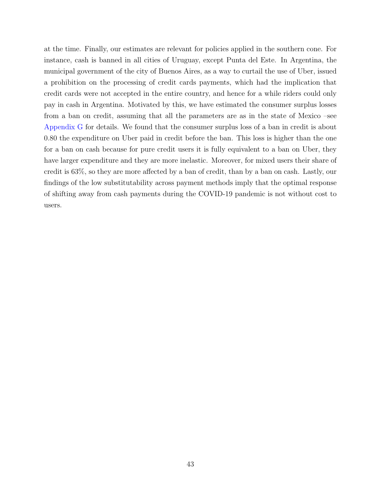at the time. Finally, our estimates are relevant for policies applied in the southern cone. For instance, cash is banned in all cities of Uruguay, except Punta del Este. In Argentina, the municipal government of the city of Buenos Aires, as a way to curtail the use of Uber, issued a prohibition on the processing of credit cards payments, which had the implication that credit cards were not accepted in the entire country, and hence for a while riders could only pay in cash in Argentina. Motivated by this, we have estimated the consumer surplus losses from a ban on credit, assuming that all the parameters are as in the state of Mexico –see [Appendix G](#page--1-0) for details. We found that the consumer surplus loss of a ban in credit is about 0.80 the expenditure on Uber paid in credit before the ban. This loss is higher than the one for a ban on cash because for pure credit users it is fully equivalent to a ban on Uber, they have larger expenditure and they are more inelastic. Moreover, for mixed users their share of credit is 63%, so they are more affected by a ban of credit, than by a ban on cash. Lastly, our findings of the low substitutability across payment methods imply that the optimal response of shifting away from cash payments during the COVID-19 pandemic is not without cost to users.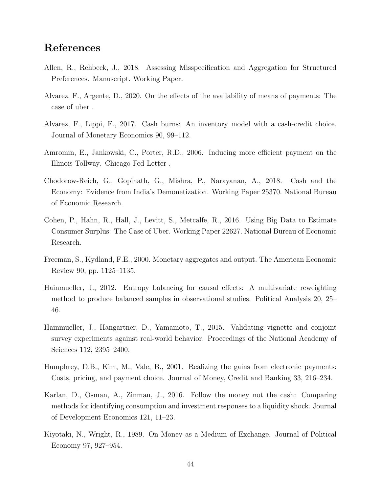# References

- <span id="page-45-8"></span>Allen, R., Rehbeck, J., 2018. Assessing Misspecification and Aggregation for Structured Preferences. Manuscript. Working Paper.
- <span id="page-45-3"></span>Alvarez, F., Argente, D., 2020. On the effects of the availability of means of payments: The case of uber .
- <span id="page-45-5"></span>Alvarez, F., Lippi, F., 2017. Cash burns: An inventory model with a cash-credit choice. Journal of Monetary Economics 90, 99–112.
- <span id="page-45-7"></span>Amromin, E., Jankowski, C., Porter, R.D., 2006. Inducing more efficient payment on the Illinois Tollway. Chicago Fed Letter .
- <span id="page-45-2"></span>Chodorow-Reich, G., Gopinath, G., Mishra, P., Narayanan, A., 2018. Cash and the Economy: Evidence from India's Demonetization. Working Paper 25370. National Bureau of Economic Research.
- <span id="page-45-4"></span>Cohen, P., Hahn, R., Hall, J., Levitt, S., Metcalfe, R., 2016. Using Big Data to Estimate Consumer Surplus: The Case of Uber. Working Paper 22627. National Bureau of Economic Research.
- <span id="page-45-0"></span>Freeman, S., Kydland, F.E., 2000. Monetary aggregates and output. The American Economic Review 90, pp. 1125–1135.
- <span id="page-45-9"></span>Hainmueller, J., 2012. Entropy balancing for causal effects: A multivariate reweighting method to produce balanced samples in observational studies. Political Analysis 20, 25– 46.
- <span id="page-45-11"></span>Hainmueller, J., Hangartner, D., Yamamoto, T., 2015. Validating vignette and conjoint survey experiments against real-world behavior. Proceedings of the National Academy of Sciences 112, 2395–2400.
- <span id="page-45-6"></span>Humphrey, D.B., Kim, M., Vale, B., 2001. Realizing the gains from electronic payments: Costs, pricing, and payment choice. Journal of Money, Credit and Banking 33, 216–234.
- <span id="page-45-10"></span>Karlan, D., Osman, A., Zinman, J., 2016. Follow the money not the cash: Comparing methods for identifying consumption and investment responses to a liquidity shock. Journal of Development Economics 121, 11–23.
- <span id="page-45-1"></span>Kiyotaki, N., Wright, R., 1989. On Money as a Medium of Exchange. Journal of Political Economy 97, 927–954.